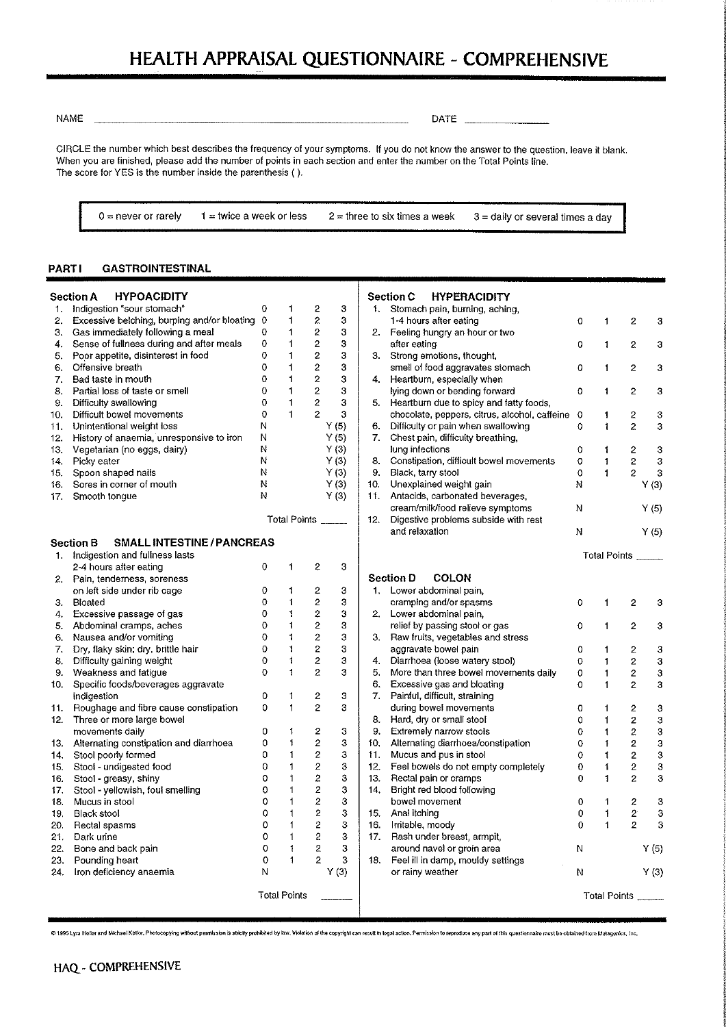# HEALTH APPRAISAL QUESTIONNAIRE - COMPREHENSIVE

**NAME** 

 $\overline{a}$ 

DATE

CIRCLE the number which best describes the frequency of your symptoms. If you do not know the answer to the question, leave it blank. When you are finished, please add the number of points in each section and enter the number on the Total Points line. The score for YES is the number inside the parenthesis ( ).

 $0 =$  never or rarely

 $1 =$  twice a week or less

 $2$  = three to six times a week

3 = daily or several times a day

 $\boldsymbol{2}$ 

 $\overline{c}$ 

 $\boldsymbol{2}$ 

 $\mathbf 2$ 

 $\boldsymbol{2}$ 

 $\mathbf{2}$ 

 $\overline{2}$ 

 $\mathbf{2}$ 

 $\overline{c}$ 

Points

 $\boldsymbol{2}$ 

 $\boldsymbol{2}$ 

 $\overline{c}$ 

 $\overline{c}$ 

 $\sqrt{2}$ 

 $\boldsymbol{2}$ 

 $\boldsymbol{2}$ 

 $\sqrt{2}$ 

 $\overline{2}$ 

 $\sqrt{2}$ 

 $\overline{c}$ 

 $\mathbf{2}$ 

 $\boldsymbol{2}$ 

 $\sqrt{2}$  $\overline{2}$ 

 $\overline{2}$ 

Points \_

 $\mathbf 3$ 

3

 $\mathbf 3$ 

 $\mathbf 3$ 

 $\mathbf 3$ 

3

3

3

 $\mathsf 3$  $Y(3)$  $Y(5)$  $Y(5)$ 

 $\mathbf 3$ 

 $\boldsymbol{3}$ 

 $\overline{3}$ 

 $\overline{3}$ 

3

3

 $\mathbf{3}$ 

3

 $\boldsymbol{3}$ 

3

 $\ddot{\textbf{3}}$ 

 $\bf{3}$  $\overline{\mathbf{3}}$ 

 $\ensuremath{\mathsf{3}}$ 

 $\mathbf{3}$ 

 $\boldsymbol{\beta}$ 

 $Y(5)$  $Y(3)$ 

#### **GASTROINTESTINAL PARTI**

|     | <b>Section A</b><br><b>HYPOACIDITY</b>                |             |                     |                         |       |                 | <b>Section C</b><br><b>HYPERACIDITY</b>                      |          |                              |
|-----|-------------------------------------------------------|-------------|---------------------|-------------------------|-------|-----------------|--------------------------------------------------------------|----------|------------------------------|
|     | 1. Indigestion "sour stomach"                         | 0           | 1                   | 2                       | 3     |                 | 1. Stomach pain, burning, aching,                            |          |                              |
|     | 2. Excessive belching, burping and/or bloating 0      |             | $\mathbf{1}$        | $\overline{\mathbf{c}}$ | 3     |                 | 1-4 hours after eating                                       | 0        | $\mathbf{1}$                 |
| 3.  | Gas immediately following a meal                      | 0           | 1                   | 2                       | 3     |                 | 2. Feeling hungry an hour or two                             |          |                              |
| 4.  | Sense of fullness during and after meals              | 0           | 1                   | 2                       | 3     |                 | after eating                                                 | 0        | 1                            |
| 5.  | Poor appetite, disinterest in food                    | 0           | 1                   | 2                       | 3     | 3.              | Strong emotions, thought,                                    |          |                              |
| 6.  | Offensive breath                                      | 0           | $\mathbf{1}$        | $\boldsymbol{2}$        | 3     |                 | smell of food aggravates stomach                             | 0        | 1                            |
| 7.  | Bad taste in mouth                                    | 0           | 1                   | $\overline{c}$          | 3     | 4.              | Heartburn, especially when                                   |          |                              |
| 8.  | Partial loss of taste or smell                        | $\Omega$    | $\mathbf 1$         | $\overline{2}$          | 3     |                 | lying down or bending forward                                | 0        | 1                            |
| 9.  | Difficulty swallowing                                 | 0           | $\mathbf{1}$        | 2                       | 3     |                 | 5. Heartburn due to spicy and fatty foods,                   |          |                              |
| 10. | Difficult bowel movements                             | 0           | $\blacksquare$      | $\overline{2}$          | 3     |                 | chocolate, peppers, citrus, alcohol, caffeine 0              |          | 1                            |
| 11. | Unintentional weight loss                             | Ν           |                     |                         | Y(5)  | 6.              | Difficulty or pain when swallowing                           | 0        | 1                            |
|     | 12. History of anaemia, unresponsive to iron          | N           |                     |                         | Y(5)  | 7.              | Chest pain, difficulty breathing,                            |          |                              |
| 13. | Vegetarian (no eggs, dairy)                           | Ν           |                     |                         | Y(3)  |                 | lung infections                                              | 0        | $\mathbf{1}$                 |
|     | 14. Picky eater                                       | Ν           |                     |                         | Y(3)  |                 | 8. Constipation, difficult bowel movements                   | O        | $\mathbf{1}$                 |
| 15. | Spoon shaped nails                                    | Ν           |                     |                         | Y(3)  |                 | 9. Black, tarry stool                                        | 0        | $\mathbf{1}$                 |
| 16. | Sores in corner of mouth                              | Ν           |                     |                         | Y(3)  | 10.             | Unexplained weight gain                                      | N        |                              |
| 17. | Smooth tongue                                         | N           |                     |                         | Y (3) | 11.             | Antacids, carbonated beverages,                              |          |                              |
|     |                                                       |             |                     |                         |       |                 | cream/milk/food relieve symptoms                             | N        |                              |
|     |                                                       |             | Total Points ______ |                         |       | 12.             | Digestive problems subside with rest                         |          |                              |
|     |                                                       |             |                     |                         |       |                 | and relaxation                                               | N        |                              |
|     | <b>SMALL INTESTINE / PANCREAS</b><br><b>Section B</b> |             |                     |                         |       |                 |                                                              |          |                              |
|     | 1. Indigestion and fullness lasts                     |             |                     |                         |       |                 |                                                              |          | Total F                      |
|     | 2-4 hours after eating                                | $\mathbf 0$ | 1                   | 2                       | 3     |                 |                                                              |          |                              |
|     | 2. Pain, tenderness, soreness                         |             |                     |                         |       |                 | <b>COLON</b><br><b>Section D</b>                             |          |                              |
|     | on left side under rib cage                           | 0           | 1                   | $\overline{\mathbf{c}}$ | 3     |                 | 1. Lower abdominal pain,                                     |          |                              |
| 3.  | Bloated                                               | 0           | 1                   | 2                       | 3     |                 | cramping and/or spasms                                       | 0        | 1                            |
|     | 4. Excessive passage of gas                           | $^{\circ}$  | 1                   | 2                       | 3     |                 | 2. Lower abdominal pain,                                     |          |                              |
|     | 5. Abdominal cramps, aches                            | 0           | 1                   | 2                       | 3     |                 | relief by passing stool or gas                               | $\Omega$ | $\mathbf{1}$                 |
| 6.  | Nausea and/or vomiting                                | $\mathbf 0$ | 1                   | $\boldsymbol{2}$        | 3     |                 | 3. Raw fruits, vegetables and stress                         |          |                              |
| 7.  | Dry, flaky skin; dry, brittle hair                    | $\Omega$    | $\mathbf{1}$        | 2                       | 3     |                 | aggravate bowel pain                                         | 0        | $\mathbf 1$                  |
| 8.  | Difficulty gaining weight                             | 0           | $\mathbf{1}$        | 2                       | 3     | 4.              | Diarrhoea (loose watery stool)                               | 0        | 1                            |
| 9.  | Weakness and fatigue                                  | 0           | $\mathbf{1}$        | 2                       | 3     | 5.              | More than three bowel movements daily                        | 0        | 1                            |
| 10. | Specific foods/beverages aggravate                    |             |                     |                         |       | 6.              | Excessive gas and bloating                                   | $\Omega$ | $\mathbf 1$                  |
|     | indigestion                                           | 0           | 1                   | 2                       | з     | 7.              | Painful, difficult, straining                                |          |                              |
| 11. | Roughage and fibre cause constipation                 | 0           | $\mathbf{1}$        | $\overline{2}$          | 3     |                 | during bowel movements                                       | 0        | 1                            |
|     | Three or more large bowel                             |             |                     |                         |       | 8.              | Hard, dry or small stool                                     | 0        |                              |
| 12. |                                                       | 0           | 1                   | 2                       | 3     | 9.              | Extremely narrow stools                                      |          | $\mathbf{1}$<br>$\mathbf{1}$ |
|     | movements daily                                       | 0           | 1                   | 2                       | 3     | 10.             |                                                              | 0        |                              |
|     | 13. Alternating constipation and diarrhoea            | 0           | 1                   | 2                       | 3     | 11 <sub>1</sub> | Alternating diarrhoea/constipation<br>Mucus and pus in stool | 0<br>0   | 1                            |
|     | 14. Stool poorly formed                               | $\Omega$    | 1                   | $\overline{c}$          | 3     | 12.             |                                                              | 0        | $\mathbf{1}$                 |
| 15. | Stool - undigested food                               |             |                     |                         |       |                 | Feel bowels do not empty completely                          |          | 1                            |
| 16. | Stool - greasy, shiny                                 | 0           | 1                   | 2                       | 3     | 13.             | Rectal pain or cramps                                        | 0        | 1                            |
| 17. | Stool - yellowish, foul smelling                      | 0           | 1                   | $\boldsymbol{2}$        | 3     | 14.             | Bright red blood following                                   |          |                              |
| 18. | Mucus in stool                                        | 0           | 1                   | 2                       | 3     |                 | bowel movement                                               | 0        | 1                            |
| 19. | <b>Black stool</b>                                    | 0           | 1                   | 2                       | 3     | 15.             | Anal itching                                                 | 0        | 1                            |
| 20. | Rectal spasms                                         | 0           | 1                   | $\overline{c}$          | 3     | 16.             | Irritable, moody                                             | 0        | 1                            |
| 21. | Dark urine                                            | 0           | $\mathbf{1}$        | 2                       | 3     | 17.             | Rash under breast, armpit,                                   |          |                              |
| 22. | Bone and back pain                                    | 0           | 1                   | 2                       | 3     |                 | around navel or groin area                                   | N        |                              |
| 23. | Pounding heart                                        | 0           | 1                   | 2                       | 3     |                 | 18. Feel ill in damp, mouldy settings                        |          |                              |
| 24. | Iron deficiency anaemia                               | N           |                     |                         | Y(3)  |                 | or rainy weather                                             | И        |                              |
|     |                                                       |             | <b>Total Points</b> |                         |       |                 |                                                              |          | Total I                      |
|     |                                                       |             |                     |                         |       |                 |                                                              |          |                              |

@ 1995 Lyra Holler and Michael Kalke, Photocopying without permission is strictly prohibited by law. Violation of the copyright can result in legal action. Permission to reproduce any part of this questionnaire must be obt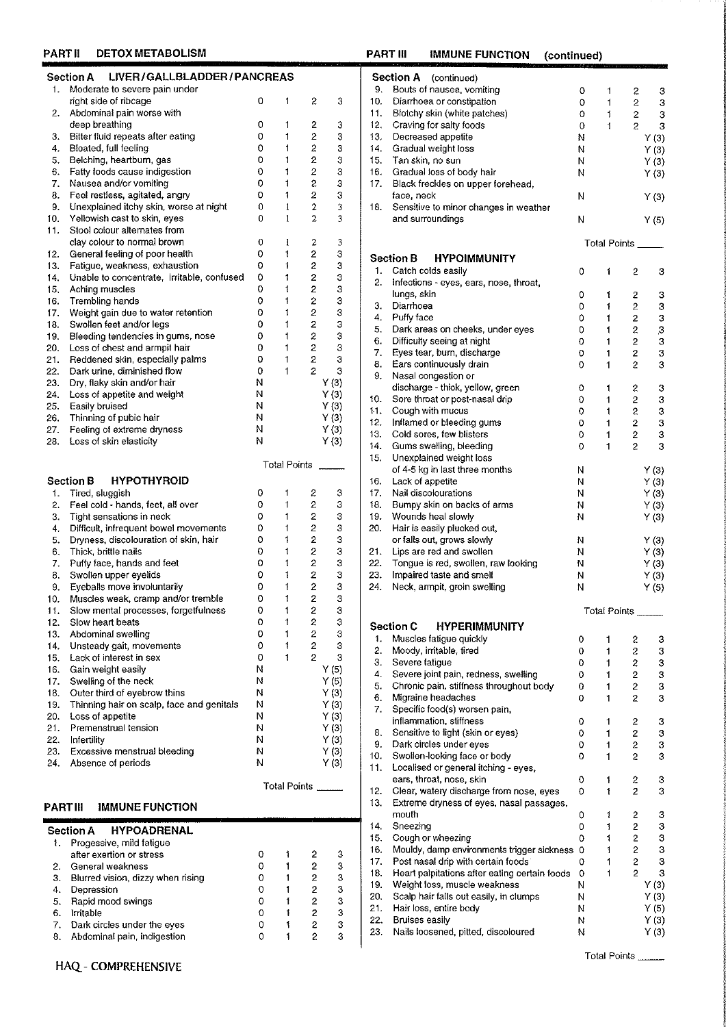|  | PART II |  | <b>DETOX METABOLISM</b> |  |
|--|---------|--|-------------------------|--|
|  |         |  |                         |  |

|     | LIVER/GALLBLADDER/PANCREAS<br><b>Section A</b>                     |   |              |                                  |        |
|-----|--------------------------------------------------------------------|---|--------------|----------------------------------|--------|
| 1.  | Moderate to severe pain under                                      |   |              |                                  |        |
|     | right side of ribcage                                              | 0 | 1            | 2                                | 3      |
| 2.  | Abdominal pain worse with                                          |   |              |                                  |        |
|     | deep breathing                                                     | 0 | 1            | 2                                | 3      |
| 3.  | Bitter fluid repeats after eating                                  | 0 | 1            | $\overline{2}$                   | 3      |
| 4.  | Bloated, full feeling                                              | 0 | 1            | $\overline{c}$                   | 3      |
| 5.  | Belching, heartburn, gas                                           | 0 | 1            | $\overline{2}$                   | 3      |
| 6.  | Fatty foods cause indigestion                                      | 0 | 1            | $\overline{2}$                   | 3      |
| 7.  | Nausea and/or vomiting                                             | 0 | 1            | 2                                | 3      |
| 8.  | Feel restless, agitated, angry                                     | 0 | 1            | $\overline{2}$                   | 3      |
| 9.  | Unexplained itchy skin, worse at night                             | 0 | $\mathbf{1}$ | $\overline{2}$                   | 3      |
| 10. | Yellowish cast to skin, eyes                                       | 0 | 1            | 2                                | 3      |
| 11. | Stool colour alternates from                                       |   |              |                                  |        |
|     | clay colour to normal brown                                        | 0 | ı            | 2                                | 3      |
| 12. | General feeling of poor health                                     | 0 | 1            | 2                                | 3      |
| 13. | Fatigue, weakness, exhaustion                                      | o | 1            | $\overline{\mathbf{c}}$          | 3      |
| 14. | Unable to concentrate, irritable, confused                         | 0 | 1            | $\overline{c}$                   | 3      |
| 15, | Aching muscles                                                     | 0 | 1            | $\overline{c}$                   | 3      |
| 16. | Trembling hands                                                    | 0 | 1            | $\overline{c}$                   | 3      |
| 17. |                                                                    | 0 | 1            | $\overline{2}$                   | 3      |
|     | Weight gain due to water retention                                 | 0 | 1            |                                  | 3      |
| 18. | Swollen feet and/or legs                                           |   | 1            | 2                                |        |
| 19. | Bleeding tendencies in gums, nose<br>Loss of chest and armpit hair | 0 | 1            | $\overline{z}$<br>2              | 3<br>3 |
| 20. |                                                                    | 0 |              |                                  |        |
| 21. | Reddened skin, especially palms                                    | 0 | 1            | $\overline{2}$<br>$\overline{2}$ | 3      |
| 22. | Dark urine, diminished flow                                        | 0 | 1            |                                  | 3      |
| 23. | Dry, flaky skin and/or hair                                        | N |              |                                  | Y(3)   |
| 24. | Loss of appetite and weight                                        | Ν |              |                                  | Y(3)   |
| 25. | Easily bruised                                                     | N |              |                                  | Y(3)   |
| 26. | Thinning of pubic hair                                             | N |              |                                  | Y(3)   |
| 27. | Feeling of extreme dryness                                         | N |              |                                  | Y(3)   |
| 28. | Loss of skin elasticity                                            | N |              |                                  | Y(3)   |
|     |                                                                    |   |              |                                  |        |
|     |                                                                    |   | Total Points |                                  |        |
|     | <b>HYPOTHYROID</b><br><b>Section B</b>                             |   |              |                                  |        |
| 1.  | Tired, sluggish                                                    | 0 | 1            | 2                                | 3      |
| 2.  | Feel cold - hands, feet, all over                                  | 0 | 1            | 2                                | 3      |
| 3.  | Tight sensations in neck                                           | 0 | 1            | $\overline{2}$                   | 3      |
| 4.  | Difficult, infrequent bowel movements                              | 0 | 1            | $\overline{c}$                   | 3      |
| 5.  | Dryness, discolouration of skin, hair                              | 0 | 1            | $\overline{2}$                   | 3      |
| 6.  | Thick, brittle nails                                               | 0 | 1            | $\overline{c}$                   | 3      |
| 7.  | Puffy face, hands and feet                                         | 0 | t            | $\overline{2}$                   | 3      |
| 8.  | Swollen upper eyelids                                              | 0 | 1            | $\overline{c}$                   | 3      |
| 9.  | Eveballs move involuntarily                                        | 0 | 1            | $\overline{c}$                   | 3      |
| 10. | Muscles weak, cramp and/or tremble                                 | 0 | Ť            | $\overline{2}$                   | 3      |
| 11. |                                                                    |   |              |                                  |        |
|     |                                                                    |   |              |                                  |        |
|     | Slow mental processes, forgetfulness                               | 0 | 1            | 2                                | 3      |
| 12. | Slow heart beats                                                   | 0 | 1            | 2                                | 3      |
| 13. | Abdominal swelling                                                 | 0 | 1            | 2                                | 3      |
| 14. | Unsteady gait, movements                                           | 0 | 1            | 2                                | 3      |
| 15. | Lack of interest in sex                                            | 0 | 1            | $\overline{c}$                   | 3      |
| 16. | Gain weight easily                                                 | Ν |              |                                  | Y(5)   |
| 17. | Swelling of the neck                                               | И |              |                                  | Y(5)   |
| 18. | Outer third of eyebrow thins                                       | Ν |              |                                  | Y(3)   |
| 19. | Thinning hair on scalp, face and genitals                          | N |              |                                  | Y (3)  |
| 20. | Loss of appetite                                                   | N |              |                                  | Y(3)   |
| 21. | Premenstrual tension                                               | N |              |                                  | Y(3)   |
| 22. | Infertility                                                        | N |              |                                  | Y(3)   |
| 23. | Excessive menstrual bleeding                                       | N |              |                                  | Y(3)   |
| 24. | Absence of periods                                                 | N |              |                                  | Y(3)   |
|     |                                                                    |   | Total Points |                                  |        |

# PART III IMMUNE FUNCTION

|    | <b>Section A HYPOADRENAL</b>      |  |   |   |  |
|----|-----------------------------------|--|---|---|--|
| 1. | Progessive, mild fatigue          |  |   |   |  |
|    | after exertion or stress          |  |   | з |  |
| 2. | General weakness                  |  | 2 | 3 |  |
| 3. | Blurred vision, dizzy when rising |  | 2 | 3 |  |
| 4. | Depression                        |  | 2 | 3 |  |
|    | 5. Rapid mood swings              |  | 2 | 3 |  |
| 6. | Irritable                         |  | 2 | 3 |  |
|    | 7. Dark circles under the eyes    |  | 2 | 3 |  |
| 8. | Abdominal pain, indigestion       |  | 2 | 3 |  |

| PART III | <b>IMMUNE FUNCTION</b>                        | (continued) |   |                              |        |
|----------|-----------------------------------------------|-------------|---|------------------------------|--------|
|          | <b>Section A</b><br>(continued)               |             |   |                              |        |
| 9.       | Bouts of nausea, vomiting                     |             | 0 | 1<br>2                       |        |
| 10.      | Diarrhoea or constipation                     |             | 0 | 1<br>2                       | з<br>3 |
| 11.      | Blotchy skin (white patches)                  |             | 0 | 1<br>2                       | 3      |
| 12.      | Craving for salty foods                       |             | 0 | 1<br>2                       | 3      |
| 13.      | Decreased appetite                            |             | N |                              | Y(3)   |
| 14.      | Gradual weight loss                           |             | N |                              | Y(3)   |
| 15.      | Tan skin, no sun                              |             | Ν |                              | Y(3)   |
| 16.      | Gradual loss of body hair                     |             | И |                              | Y(3)   |
| 17.      | Black freckles on upper forehead,             |             |   |                              |        |
|          | face, neck                                    |             | Ν |                              |        |
| 18.      | Sensitive to minor changes in weather         |             |   |                              | Y(3)   |
|          | and surroundings                              |             | Ν |                              | Y(5)   |
|          |                                               |             |   |                              |        |
|          |                                               |             |   | Total Points                 |        |
|          |                                               |             |   |                              |        |
|          | <b>Section B</b><br><b>HYPOIMMUNITY</b>       |             |   |                              |        |
| 1.       | Catch colds easily                            |             | 0 | 1<br>2                       | з      |
| 2.       | Infections - eyes, ears, nose, throat,        |             |   |                              |        |
|          | lungs, skin                                   |             | 0 | ŧ<br>2                       | з      |
| з.       | Diarrhoea                                     |             | 0 | $\overline{\mathbf{2}}$<br>1 | з      |
| 4.       | Puffy face                                    |             | 0 | t<br>2                       | 3      |
| 5.       | Dark areas on cheeks, under eyes              |             | 0 | 1<br>2                       | 3      |
| 6.       | Difficulty seeing at night                    |             | 0 | 2<br>1                       | 3      |
| 7.       | Eyes tear, burn, discharge                    |             | 0 | 1<br>2                       | 3      |
| 8.       | Ears continuously drain                       |             | 0 | $\mathbf{1}$<br>2            | 3      |
| 9.       | Nasal congestion or                           |             |   |                              |        |
|          | discharge - thick, yellow, green              |             | 0 | 1<br>2                       | з      |
| 10.      | Sore throat or post-nasal drip                |             | 0 | 1<br>2                       | З      |
| 11.      | Cough with mucus                              |             | 0 | 1<br>2                       | 3      |
| 12.      | Inflamed or bleeding gums                     |             | 0 | 2<br>1                       | 3      |
| 13.      | Cold sores, few blisters                      |             | 0 | 2<br>1                       | 3      |
| 14.      | Gums swelling, bleeding                       |             | 0 | 1<br>2                       | 3      |
| 15.      | Unexplained weight loss                       |             |   |                              |        |
|          | of 4-5 kg in last three months                |             | Ν |                              | Y(3)   |
| 16.      | Lack of appetite                              |             | Ν |                              | Y(3)   |
| 17.      | Nail discolourations                          |             | N |                              | Y(3)   |
| 18.      | Bumpy skin on backs of arms                   |             | N |                              | Y(3)   |
| 19.      | Wounds heal slowly                            |             | N |                              | Y (3)  |
| 20.      | Hair is easily plucked out,                   |             |   |                              |        |
|          | or falls out, grows slowly                    |             | N |                              | Y(3)   |
| 21.      | Lips are red and swollen                      |             | N |                              | Y(3)   |
| 22.      | Tongue is red, swollen, raw looking           |             | N |                              | Y(3)   |
| 23.      | Impaired taste and smell                      |             | N |                              | Y(3)   |
| 24.      | Neck, armpit, groin swelling                  |             | N |                              | Y(5)   |
|          |                                               |             |   |                              |        |
|          |                                               |             |   | Total Points                 |        |
|          |                                               |             |   |                              |        |
|          | <b>Section C</b><br><b>HYPERIMMUNITY</b>      |             |   |                              |        |
| 1.       | Muscles fatigue quickly                       |             | 0 | 1<br>2                       | 3      |
| 2.       | Moody, irritable, tired                       |             | 0 | $\mathbf{1}$<br>2            | 3      |
| 3.       | Severe fatigue                                |             | 0 | 1<br>2                       | 3      |
| 4.       | Severe joint pain, redness, swelling          |             | 0 | 1<br>2                       | 3      |
| 5.       | Chronic pain, stiffness throughout body       |             | 0 | 1<br>2                       | 3      |
| 6.       | Migraine headaches                            |             | 0 | 2<br>1                       | 3      |
| 7.       | Specific food(s) worsen pain,                 |             |   |                              |        |
|          | inflammation, stiffness                       |             | 0 | 1<br>2                       | 3      |
| 8.       | Sensitive to light (skin or eyes)             |             | 0 | $\mathbf{1}$<br>2            | 3      |
| 9.       | Dark circles under eyes                       |             | 0 | 2<br>1                       | 3      |
| 10.      | Swollen-looking face or body                  |             | 0 | 1<br>2                       | 3      |
| 11.      | Localised or general itching - eyes,          |             |   |                              |        |
|          | ears, throat, nose, skin                      |             | 0 | 1<br>2                       | 3      |
| 12.      | Clear, watery discharge from nose, eyes       |             | 0 | 2<br>ŧ                       | 3      |
| 13.      | Extreme dryness of eyes, nasal passages,      |             |   |                              |        |
|          | mouth                                         |             | 0 | 1<br>2                       | 3      |
| 14.      | Sneezing                                      |             | 0 | 1<br>2                       | 3      |
| 15.      | Cough or wheezing                             |             | 0 | 1<br>2                       | 3      |
| 16.      | Mouldy, damp environments trigger sickness    |             | 0 | 2<br>1                       | 3      |
| 17.      | Post nasal drip with certain foods            |             | 0 | 2<br>1                       | 3      |
| 18.      | Heart palpitations after eating certain foods |             | 0 | 2<br>1                       | 3      |
| 19.      | Weight loss, muscle weakness                  |             | Ν |                              | Y (3)  |
| 20.      | Scalp hair falls out easily, in clumps        |             | Ν |                              | Y (3)  |
| 21.      | Hair loss, entire body                        |             | Ν |                              | Y(5)   |
| 22.      | <b>Bruises easily</b>                         |             | Ν |                              | Y(3)   |
| 23.      | Nails loosened, pitted, discoloured           |             | N |                              | Y(3)   |
|          |                                               |             |   |                              |        |
|          |                                               |             |   |                              |        |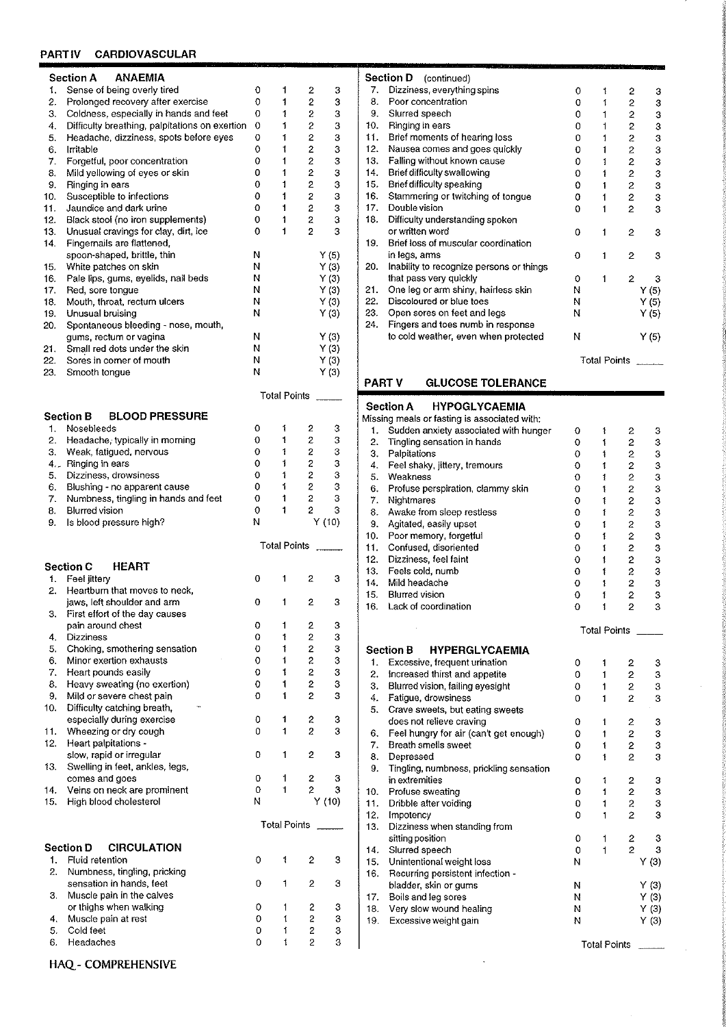# PARTIV CARDIOVASCULAR

|          | <b>Section A</b><br>ANAEMIA                                                              |        |                     |                |        |
|----------|------------------------------------------------------------------------------------------|--------|---------------------|----------------|--------|
| 1.       | Sense of being overly tired                                                              | 0      | 1                   | 2              | з      |
| 2.       | Prolonged recovery after exercise                                                        | 0      | 1                   | 2              | 3      |
| 3.       | Coldness, especially in hands and feet                                                   | 0<br>0 | 1<br>1              | 2<br>2         | 3<br>3 |
| 4.<br>5. | Difficulty breathing, palpitations on exertion<br>Headache, dizziness, spots before eyes | 0      | 1                   | 2              | 3      |
| 6.       | Irritable                                                                                | 0      | t                   | $\overline{c}$ | 3      |
| 7.       | Forgetful, poor concentration                                                            | 0      | 1                   | 2              | З      |
| 8.       | Mild yellowing of eyes or skin                                                           | 0      | 1                   | $\overline{2}$ | З      |
| 9.       | Ringing in ears                                                                          | 0      | 1                   | 2              | 3      |
| 10.      | Susceptible to infections                                                                | 0      | 1                   | 2              | 3      |
| 11.      | Jaundice and dark urine                                                                  | 0      | 1                   | 2              | З      |
| 12.      | Black stool (no iron supplements)                                                        | 0      | 1                   | 2              | з      |
| 13.      | Unusual cravings for clay, dirt, ice                                                     | 0      | 1                   | 2              | 3      |
| 14.      | Fingernalls are flattened,<br>spoon-shaped, brittle, thin                                | Ν      |                     |                | Y(5)   |
| 15.      | White patches on skin                                                                    | Ν      |                     |                | Y(3)   |
| 16.      | Pale lips, gums, eyelids, nail beds                                                      | Ν      |                     |                | Y(3)   |
| 17.      | Red, sore tongue                                                                         | Ν      |                     |                | Y(3)   |
| 18.      | Mouth, throat, rectum ulcers                                                             | Ν      |                     |                | Y(3)   |
| 19.      | Unusual bruising                                                                         | Ν      |                     |                | Y(3)   |
| 20.      | Spontaneous bleeding - nose, mouth,                                                      |        |                     |                |        |
|          | gums, rectum or vagina                                                                   | Ν      |                     |                | Y(3)   |
| 21.      | Small red dots under the skin                                                            | Ν      |                     |                | Y(3)   |
| 22.      | Sores in corner of mouth                                                                 | Ν      |                     |                | Y(3)   |
| 23.      | Smooth tongue                                                                            | Ν      |                     |                | Y(3)   |
|          |                                                                                          |        | <b>Total Points</b> |                |        |
|          | <b>BLOOD PRESSURE</b><br>Section B                                                       |        |                     |                |        |
| 1.       | Nosebleeds                                                                               | 0      | 1                   | 2              | 3      |
| 2.       | Headache, typically in morning                                                           | 0      | ŧ                   | 2              | З      |
| 3.       | Weak, fatigued, nervous                                                                  | 0      | 1                   | $\overline{c}$ | 3      |
|          | 4. Ringing in ears                                                                       | 0      | 1                   | 2              | 3      |
| 5.       | Dizziness, drowsiness                                                                    | 0      | 1                   | 2              | 3      |
| 6.       | Blushing - no apparent cause                                                             | 0      | 1                   | 2              | З      |
| 7.       | Numbness, tingling in hands and feet<br><b>Blurred vision</b>                            | o<br>0 | 1                   | 2              | 3      |
|          |                                                                                          |        |                     |                |        |
| 8.       |                                                                                          |        | $\ddagger$          | 2              | 3      |
| 9.       | Is blood pressure high?                                                                  | N      |                     |                | Y(10)  |
|          |                                                                                          |        | Total Points        |                |        |
|          | <b>Section C</b><br>HEART                                                                |        |                     |                |        |
| 1.       | Feel jittery                                                                             | 0      | 1                   | 2              | 3      |
| 2.       | Heartburn that moves to neck,                                                            |        |                     |                |        |
|          | jaws, left shoulder and arm                                                              | 0      | 1                   | 2              | 3      |
| з.       | First effort of the day causes                                                           |        |                     |                |        |
|          | pain around chest                                                                        | 0      | 1                   | 2              | з      |
| 4.       | Dizziness                                                                                | 0      | 1                   | 2              | 3      |
| 5.<br>6. | Choking, smothering sensation<br>Minor exertion exhausts                                 | 0<br>0 | 1<br>1              | 2<br>2         | З      |
| 7.       | Heart pounds easily                                                                      | 0      | ţ                   | 2              | 3      |
| 8.       |                                                                                          | 0      | ŧ                   | 2              | 3<br>3 |
| 9.       | Heavy sweating (no exertion)<br>Mild or severe chest pain                                | 0      | 1                   | 2              | 3      |
| 10.      | Difficulty catching breath,                                                              |        |                     |                |        |
|          | especially during exercise                                                               | 0      | 1                   | 2              | 3      |
| 11.      | Wheezing or dry cough                                                                    | 0      | 1                   | 2              | 3      |
| 12.      | Heart palpitations -                                                                     |        |                     |                |        |
|          | slow, rapid or irregular                                                                 | 0      | 1                   | 2              | з      |
| 13.      | Swelling in feet, ankles, legs,                                                          |        |                     |                |        |
|          | comes and goes                                                                           | 0      | 1                   | 2              | 3      |
| 14.      | Veins on neck are prominent                                                              | 0      | 1                   | $\overline{2}$ | 3      |
| 15.      | High blood cholesterol                                                                   | Ν      |                     |                | Y(10)  |
|          |                                                                                          |        | <b>Total Points</b> |                |        |
|          | <b>Section D</b><br><b>CIRCULATION</b>                                                   |        |                     |                |        |
| 1.       | Fluid retention                                                                          | 0      | 1                   | 2              | 3      |
| 2.       | Numbness, tingling, pricking                                                             |        |                     |                |        |
|          | sensation in hands, feet                                                                 | 0      | 1                   | 2              | 3      |
| 3.       | Muscle pain in the calves                                                                |        |                     |                |        |
|          | or thighs when walking                                                                   | 0      | 1                   | 2              | з      |
| 4.       | Muscle pain at rest                                                                      | 0      | 1                   | 2              | 3      |
| 5.<br>6. | Cold feet<br>Headaches                                                                   | 0<br>0 | 1<br>ŧ              | 2<br>2         | 3<br>3 |

|          | Section D<br>(continued)                                      |        |                     |                |              |
|----------|---------------------------------------------------------------|--------|---------------------|----------------|--------------|
| 7.       | Dizziness, everything spins                                   | 0      | 1                   | 2              | з            |
| 8.       | Poor concentration                                            | 0      | 1                   | 2              | 3            |
| 9.       | Slurred speech                                                | 0      | 1                   | 2              | 3            |
| 10.      | Ringing in ears                                               | 0      | 1                   | 2              | 3            |
| 11.      | Brief moments of hearing loss                                 | 0      | 1                   | 2              | 3            |
| 12.      | Nausea comes and goes quickly                                 | 0      | 1                   | 2              | 3            |
| 13.      | Falling without known cause                                   | 0      | 1                   | $\overline{c}$ | 3            |
| 14.      | Brief difficulty swallowing                                   | 0      | 1                   | 2              | 3            |
| 15.      | Brief difficulty speaking                                     | 0      | ŧ                   | 2              | 3            |
| 16.      | Stammering or twitching of tongue                             | 0      | 1                   | 2              | 3            |
| 17.      | Double vision                                                 | 0      | 1                   | 2              | 3            |
| 18.      | Difficulty understanding spoken                               |        |                     |                |              |
|          | or written word                                               | 0      | 1                   | 2              | 3            |
| 19.      | Brief loss of muscular coordination                           |        |                     |                |              |
|          | in legs, arms                                                 | 0      | 1                   | 2              | 3            |
| 20.      | Inability to recognize persons or things                      |        |                     |                |              |
| 21.      | that pass very quickly<br>One leg or arm shiny, hairless skin | 0<br>Ν | 1                   | 2              | 3            |
| 22.      | Discoloured or blue toes                                      | N      |                     |                | Y(5)         |
| 23.      | Open sores on feet and legs                                   | N      |                     |                | Y(5)<br>Y(5) |
| 24.      | Fingers and toes numb in response                             |        |                     |                |              |
|          | to cold weather, even when protected                          | N      |                     |                | Y(5)         |
|          |                                                               |        |                     |                |              |
|          |                                                               |        | <b>Total Points</b> |                |              |
| PART V   | <b>GLUCOSE TOLERANCE</b>                                      |        |                     |                |              |
|          |                                                               |        |                     |                |              |
|          | <b>Section A</b><br><b>HYPOGLYCAEMIA</b>                      |        |                     |                |              |
|          | Missing meals or fasting is associated with:                  |        |                     |                |              |
| 1.       | Sudden anxiety associated with hunger                         | 0      | 1                   | 2              | з            |
| 2.       | Tingling sensation in hands                                   | o      | 1                   | 2              | З            |
| 3.       | Palpitations                                                  | 0      | ŧ                   | 2              | 3            |
| 4.       | Feel shaky, jittery, tremours                                 | 0      | 1                   | 2              | 3            |
| 5.       | Weakness                                                      | 0      | 1                   | 2              | 3            |
| 6.       | Profuse perspiration, clammy skin                             | 0      | 1                   | 2              | 3            |
| 7.       | Nightmares                                                    | 0      | 1                   | 2              | 3            |
| 8.<br>9. | Awake from sleep restless                                     | 0      | 1<br>1              | 2              | 3            |
| 10.      | Agitated, easily upset<br>Poor memory, forgetful              | 0      | 1                   | 2<br>2         | 3<br>3       |
| 11.      | Confused, disoriented                                         | 0<br>0 | 1                   | 2              | 3            |
| 12.      | Dizziness, feel faint                                         | 0      | ţ                   | $\mathbf{c}$   | з            |
| 13.      | Feels cold, numb                                              | 0      | 1                   | $\overline{c}$ | 3            |
| 14.      | Mild headache                                                 | o      | ŧ                   | 2              | 3            |
| 15.      | <b>Blurred vision</b>                                         | 0      | 1                   | 2              | 3            |
| 16.      | Lack of coordination                                          | 0      | ŧ                   | 2              | 3            |
|          |                                                               |        |                     |                |              |
|          |                                                               |        | Total Points        |                |              |
|          | <b>Section B</b><br><b>HYPERGLYCAEMIA</b>                     |        |                     |                |              |
| 1.       | Excessive, frequent urination                                 | 0      | 1                   | 2              | 3            |
| 2.       | Increased thirst and appetite                                 | 0      | 1                   | 2              | 3            |
| 3.       | Blurred vision, failing eyesight                              | 0      | 1                   | 2              | 3            |
| 4.       | Fatigue, drowsiness                                           | 0      | 1                   | 2              | з            |
| 5.       | Crave sweets, but eating sweets                               |        |                     |                |              |
|          | does not relieve craving                                      | 0      | 1                   | 2              | 3            |
| 6.       | Feel hungry for air (can't get enough)                        | 0      | 1                   | 2              | 3            |
| 7.       | Breath smells sweet                                           | 0      | ŧ                   | 2              | 3            |
| 8.       | Depressed                                                     | 0      | 1                   | 2              | 3            |
| 9.       | Tingling, numbness, prickling sensation                       |        |                     |                |              |
|          | in extremities                                                | 0      | 1                   | 2              | з            |
| 10.      | Profuse sweating                                              | 0      | 1                   | 2              | з            |
| 11.      | Dribble after voiding                                         | 0      | 1                   | 2              | з            |
| 12.      | Impotency                                                     | 0      | 1                   | 2              | з            |
| 13.      | Dizziness when standing from                                  |        |                     |                |              |
|          | sitting position                                              | 0      | 1                   | 2              | 3            |
| 14.      | Slurred speech                                                | 0      | 1                   | 2              | 3            |
| 15.      | Unintentional weight loss                                     | N      |                     |                | Y(3)         |
| 16.      | Recurring persistent infection -                              |        |                     |                |              |
| 17.      | bladder, skin or gums<br>Boils and leg sores                  | N<br>N |                     |                | Y (3)        |
| 18.      | Very slow wound healing                                       | Ν      |                     |                | Y(3)<br>Y(3) |
| 19.      | Excessive weight gain                                         | N      |                     |                | Y (3)        |
|          |                                                               |        |                     |                |              |
|          |                                                               |        | <b>Total Points</b> |                |              |
|          |                                                               |        |                     |                |              |

 $\sim$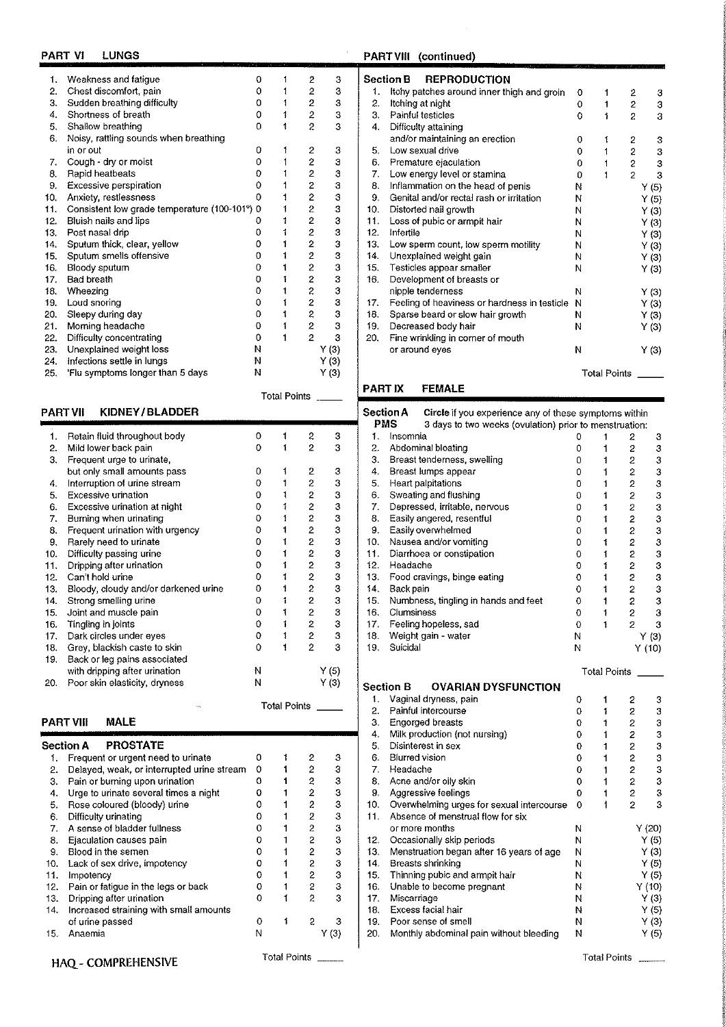# PART VI LUNGS

| 1.  | Weakness and fatigue                          | 0 |              | 2                       | 3             |
|-----|-----------------------------------------------|---|--------------|-------------------------|---------------|
| 2.  | Chest discomfort, pain                        | 0 | 1            | 2                       | 3             |
| 3.  | Sudden breathing difficulty                   | 0 | 1            | 2                       | 3             |
| 4.  | Shortness of breath                           | 0 | 1            | 2                       | 3             |
| 5.  | Shallow breathing                             | o | 1            | 2                       | 3             |
| 6.  | Noisy, rattling sounds when breathing         |   |              |                         |               |
|     | in or out                                     | 0 | 1            | 2                       | з             |
| 7.  | Cough - dry or moist                          | 0 | 1            | $\overline{\mathbf{c}}$ | 3             |
| 8.  | Rapid heatbeats                               | 0 |              | 2                       | 3             |
| 9.  | Excessive perspiration                        | 0 |              | $\overline{\mathbf{c}}$ | 3             |
| 10. | Anxiety, restlessness                         | 0 | 1            | $\overline{c}$          | 3             |
| 11. | Consistent low grade temperature (100-101°) 0 |   | 1            | $\overline{\mathbf{c}}$ | 3             |
| 12. | Bluish nails and lips                         | 0 | 1            | $\overline{\mathbf{c}}$ | 3             |
| 13. | Post nasal drip                               | 0 | 1            | $\overline{c}$          | 3             |
| 14. | Sputum thick, clear, yellow                   | 0 | 1            | 2                       | 3             |
| 15. | Sputum smells offensive                       | 0 | í            | 2                       | 3             |
| 16. | Bloody sputum                                 | 0 | ſ            | 2                       | 3             |
| 17. | <b>Bad breath</b>                             | 0 | 1            | 2                       | 3             |
| 18. | Wheezing                                      | 0 | 1            | $\boldsymbol{2}$        | 3             |
| 19. | Loud snoring                                  | 0 | 1            | $\overline{\mathbf{c}}$ | $\frac{3}{3}$ |
| 20. | Sleepy during day                             | 0 | t            | 2                       |               |
| 21. | Morning headache                              | o |              | $\overline{\mathbf{c}}$ |               |
| 22. | Difficulty concentrating                      | 0 | ŧ            | $\overline{2}$          | 3             |
| 23. | Unexplained weight loss                       | N |              | Y(3)                    |               |
| 24. | Infections settle in lungs                    | N |              | Y (3)                   |               |
| 25. | 'Flu symptoms longer than 5 days              | N |              | Y (3)                   |               |
|     |                                               |   | Total Points |                         |               |

# PART VII KIDNEY/BLADDER

r

| 1.  | Retain fluid throughout body         | 0 | í                   | 2                     | 3      |
|-----|--------------------------------------|---|---------------------|-----------------------|--------|
| 2.  | Mild lower back pain                 | o | 1                   | $\overline{2}$        | 3      |
| 3.  | Frequent urge to urinate,            |   |                     |                       |        |
|     | but only small amounts pass          | Ω | ţ                   | 2                     | 3      |
| 4.  | Interruption of urine stream         | o | ţ                   | 2                     | 3      |
| 5.  | Excessive urination                  | Ω | ţ                   | 2                     | з      |
| 6.  | Excessive urination at night         | Ω | 1                   | $\overline{c}$        | З      |
| 7.  | Burning when urinating               | 0 | 1                   | $\overline{c}$        | 3      |
| 8.  | Frequent urination with urgency      | ٥ | ţ                   | $\overline{2}$        | 3      |
| 9.  | Rarely need to urinate               | 0 | t                   | $\mathbf{2}$          | 3      |
| 10. | Difficulty passing urine             | 0 | f                   | 2                     | $\bf3$ |
| 11. | Dripping after urination             | 0 | ţ                   | $\overline{2}$        | 3      |
| 12. | Can't hold urine                     | 0 |                     | $\mathbf{z}$          | 3      |
| 13. | Bloody, cloudy and/or darkened urine | 0 | 1                   | $\overline{c}$        | 3      |
| 14. | Strong smelling urine                | 0 | 1                   | 2                     | 3      |
| 15. | Joint and muscle pain                | Ω | 1                   | $\mathbf{2}^{\prime}$ | 3      |
| 16. | Tingling in joints                   | o | 1                   | $\overline{2}$        | 3      |
| 17. | Dark circles under eyes              | ٥ | 1                   | $\mathbf{2}^{\circ}$  | 3      |
| 18. | Grey, blackish caste to skin         | 0 | ţ                   | $\overline{c}$        | 3      |
| 19. | Back or leg pains associated         |   |                     |                       |        |
|     | with dripping after urination        | Ν |                     |                       | Y (5)  |
| 20. | Poor skin elasticity, dryness        | N |                     |                       | Y (3)  |
|     | 155                                  |   | <b>Total Points</b> |                       |        |

#### **PART VIII MALE**

|     | <b>PROSTATE</b><br>Section A               |                     |   |                |     |  |
|-----|--------------------------------------------|---------------------|---|----------------|-----|--|
| 1.  | Frequent or urgent need to urinate         | 0                   |   | 2              | 3   |  |
| 2.  | Delayed, weak, or interrupted urine stream | 0                   |   | 2              | 3   |  |
| 3.  | Pain or burning upon urination             | 0                   |   | 2              | 3   |  |
| 4.  | Urge to urinate several times a night      | 0                   |   | 2              | 3   |  |
| 5.  | Rose coloured (bloody) urine               | 0                   |   | 2              | 3   |  |
| 6.  | Difficulty urinating                       | 0                   |   | 2              | 3   |  |
| 7.  | A sense of bladder fullness                | 0                   |   | 2              | 3   |  |
| 8.  | Ejaculation causes pain                    | 0                   |   | 2              | 3   |  |
| 9.  | Blood in the semen                         | 0                   |   | $\overline{2}$ | 3   |  |
| 10. | Lack of sex drive, impotency               | Ω                   |   | 2.             | 3   |  |
| 11. | Impotency                                  | Ω                   |   | 2.             | 3   |  |
| 12. | Pain or fatigue in the legs or back        | 0                   |   | $\overline{2}$ | 3   |  |
| 13. | Dripping after urination                   | 0                   |   | 2              | 3   |  |
| 14. | Increased straining with small amounts     |                     |   |                |     |  |
|     | of urine passed                            | 0                   | 1 | 2              | з   |  |
| 15. | Anaemia                                    | Ν                   |   |                | (3) |  |
|     | HAO - COMPREHENSIVE                        | <b>Total Points</b> |   |                |     |  |

# HAQ - COMPREHENSIVE

# PART VIII (continued)

 $\hat{\boldsymbol{\beta}}$ 

|     | <b>REPRODUCTION</b><br>Section B             |          |              |                |       |
|-----|----------------------------------------------|----------|--------------|----------------|-------|
| 1.  | Itchy patches around inner thigh and groin   | 0        | 1            | 2              | з     |
| 2.  | Itching at night                             | $\Omega$ | 1            | 2              | З     |
| З.  | Painful testicles                            | 0        | 1            | 2              | 3     |
| 4.  | Difficulty attaining                         |          |              |                |       |
|     | and/or maintaining an erection               | 0        | 1            | 2              | 3     |
| 5.  | Low sexual drive                             | 0        | 1            | 2              | 3     |
| 6.  | Premature ejaculation                        | 0        | 1            | 2              | 3     |
| 7.  | Low energy level or stamina                  | 0        | 1            | $\overline{2}$ | 3     |
| 8.  | Inflammation on the head of penis            | N        |              |                | Y (5) |
| 9.  | Genital and/or rectal rash or irritation     | Ν        |              |                | Y(5)  |
| 10. | Distorted nail growth                        | Ν        |              |                | Y(3)  |
| 11. | Loss of pubic or armpit hair                 | N        |              |                | Y(3)  |
| 12. | Infertile                                    | Ν        |              |                | Y(3)  |
| 13. | Low sperm count, low sperm motility          | Ν        |              |                | Y(3)  |
| 14. | Unexplained weight gain                      | N        |              |                | Y(3)  |
| 15. | Testicles appear smaller                     | Ν        |              |                | Y (3) |
| 16. | Development of breasts or                    |          |              |                |       |
|     | nipple tenderness                            | N        |              |                | Y(3)  |
| 17. | Feeling of heaviness or hardness in testicle | N        |              |                | Y (3) |
| 18. | Sparse beard or slow hair growth             | N        |              |                | Y (3) |
| 19. | Decreased body hair                          | Ν        |              |                | Y (3) |
| 20. | Fine wrinkling in corner of mouth            |          |              |                |       |
|     | or around eyes                               | Ν        |              |                | Y (3) |
|     |                                              |          | Total Points |                |       |

# FEMALE

|               |                                                                      |          | Fotal Points        |                |               |
|---------------|----------------------------------------------------------------------|----------|---------------------|----------------|---------------|
| <b>PARTIX</b> | <b>FEMALE</b>                                                        |          |                     |                |               |
|               | Section A<br>Circle if you experience any of these symptoms within   |          |                     |                |               |
|               | <b>PMS</b><br>3 days to two weeks (ovulation) prior to menstruation: |          |                     |                |               |
| 1.            | Insomnia                                                             | 0        | 1                   | 2              | 3             |
| 2.            | Abdominal bloating                                                   | 0        | 1                   | 2              | 3             |
| 3.            | Breast tenderness, swelling                                          | 0        | 1                   | 2              | 3             |
| 4.            | Breast lumps appear                                                  | 0        | 1                   | $\overline{2}$ | 3             |
| 5.            | Heart palpitations                                                   | 0        | 1                   | 2              | 3             |
| 6.            | Sweating and flushing                                                | 0        | 1                   | 2              | 3             |
| 7.            | Depressed, irritable, nervous                                        | 0        | 1                   | $\overline{c}$ | 3             |
| 8.            | Easily angered, resentful                                            | 0        | 1                   | 2              | 3             |
| 9.            | Easily overwhelmed                                                   | 0        | 1                   | $\overline{c}$ | 3             |
| 10.           | Nausea and/or vomiting                                               | 0        | 1                   | $\overline{c}$ | 3             |
| 11.           | Diarrhoea or constipation                                            | 0        | t                   | 2              | 3             |
| 12.           | Headache                                                             | O        | 1                   | $\overline{c}$ | З             |
| 13.           | Food cravings, binge eating                                          | 0        | 1                   | 2              | 3             |
| 14.           | Back pain                                                            | 0        | ŧ                   | 2              | 3             |
| 15.           | Numbness, tingling in hands and feet                                 | 0        | ŧ                   | $\overline{c}$ | 3             |
| 16.           | Clumsiness                                                           | 0        | 1                   | 2              | 3             |
| 17.           | Feeling hopeless, sad                                                | 0        | 1                   | 2              | 3             |
| 18.           | Weight gain - water                                                  | Ν        |                     |                | Y (3)         |
| 19.           | Suicidal                                                             | Ν        |                     |                | Y(10)         |
|               |                                                                      |          |                     |                |               |
|               |                                                                      |          | <b>Total Points</b> |                |               |
|               | <b>Section B</b><br><b>OVARIAN DYSFUNCTION</b>                       |          |                     |                |               |
| 1.            | Vaginal dryness, pain                                                | 0        | 1                   | 2              | 3             |
| 2.            | Painful intercourse                                                  | 0        | 1                   | $\overline{2}$ | 3             |
| 3.            | <b>Engorged breasts</b>                                              | $\Omega$ | 1.                  | $\mathbf{2}$   | 3             |
| 4.            | Milk production (not nursing)                                        | 0        | 1                   | $\overline{c}$ | З             |
| 5.            | Disinterest in sex                                                   | 0        | 1                   | 2              | 3             |
| 6.            | <b>Blurred vision</b>                                                | 0        | 1                   | 2              | 3             |
| 7.            | Headache                                                             | 0        | 1                   | $\mathbf{2}$   | 3             |
| 8.            | Acne and/or oily skin                                                | 0        | 1                   | 2              | 3             |
| 9.            | Aggressive feelings                                                  | 0        | 1                   | 2              | 3             |
| 10.           | Overwhelming urges for sexual intercourse                            | 0        | 1                   | 2              | 3             |
| 11.           | Absence of menstrual flow for six                                    |          |                     |                |               |
|               | or more months                                                       | N        |                     |                | Y(20)         |
| 12.           | Occasionally skip periods                                            | Ν        |                     |                | Y(5)          |
| 13.           | Menstruation began after 16 years of age                             | Ν        |                     |                | Y(3)          |
| 14.           | Breasts shrinking                                                    | N        |                     |                | Y(5)          |
| 15.           | Thinning pubic and armpit hair                                       | N        |                     |                | Y (5)         |
|               | Unable to become pregnant                                            | N        |                     |                | Y(10)         |
| 16.           |                                                                      |          |                     |                |               |
| 17.           | Miscarriage                                                          | Ν        |                     |                | Y(3)          |
| 18.           | Excess facial hair                                                   | N        |                     |                | Y (5)         |
| 19.           | Poor sense of smell<br>Monthly abdominal pain without bleeding       | N        |                     |                | Y (3)<br>Y(5) |

Total Points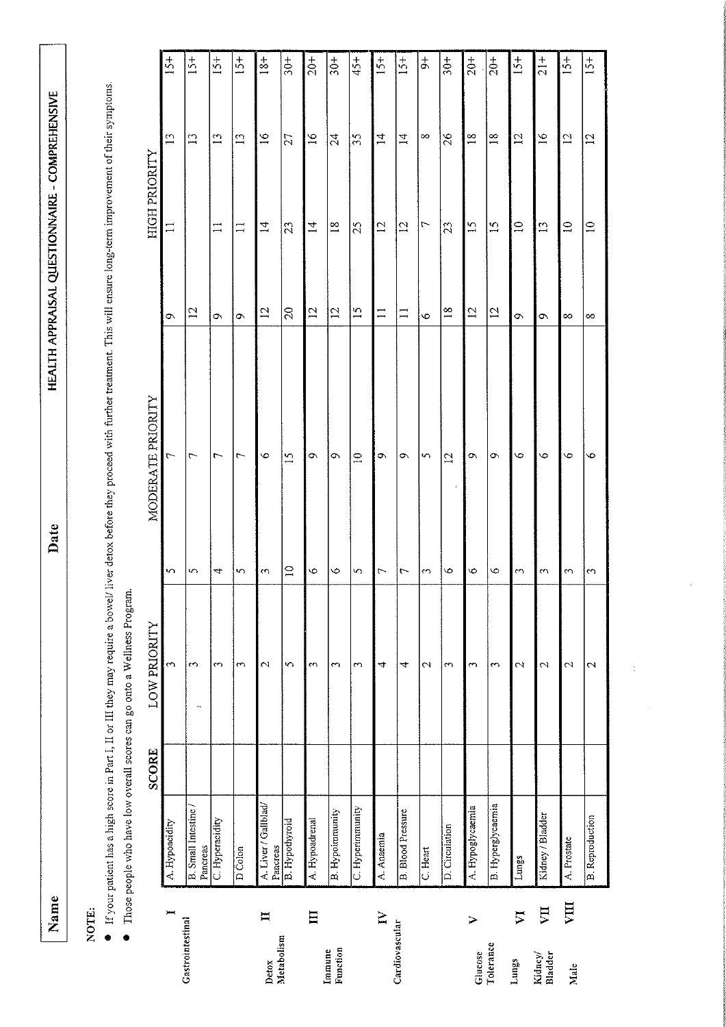Name

Date

# NOTE:

- If your patient has a high score in Part I, II or III they may require a bowel/ liver detox before they proceed with further treatment. This will ensure long-term improvement of their symptoms.
	- $\bullet$  Those people who have low overall scores can go onto a Wellness Program.

| A. Hypoacidity | SCORE | <b>LOW PRIORITY</b> |                          | MODERATE PRIORITY |                     | <b>HIGH PRIORITY</b>     |                 | $15 +$         |
|----------------|-------|---------------------|--------------------------|-------------------|---------------------|--------------------------|-----------------|----------------|
|                |       | ω                   | S                        | $\overline{r}$    | ó                   | $\overline{11}$          | $\mathbb{L}$    |                |
|                |       | $\sim$<br>÷,        | 5                        | $\Gamma$          | 12                  |                          | $\mathbb{E}$    | $15+$          |
|                |       | S                   | 4                        | $\overline{ }$    | Ō,                  | $\Xi$                    | $\mathbf{1}$    | $15+$          |
|                |       | $\mathfrak{m}$      | S                        | ᠵ                 | Ö                   | $\Box$                   | $\mathbb{C}$    | $15+$          |
|                |       | 2                   | S                        | $\bullet$         | 12                  | Ħ                        | $\frac{91}{2}$  | $18+$          |
|                |       | 5                   | $\supseteq$              | 15                | $\Omega$            | z                        | $\overline{27}$ | $30+$          |
|                |       | $\epsilon$          | S                        | Ó                 | $\overline{12}$     | $\overline{1}$           | $\tilde{g}$     | $20 +$         |
|                |       | 3                   | $\circ$                  | Ō,                | $\overline{\omega}$ | $\frac{8}{10}$           | $\mathcal{L}$   | $30+$          |
|                |       | 3                   | 5                        | $\Xi$             | $\tilde{5}$         | 25                       | 55              | $45+$          |
|                |       | 4                   | $\overline{ }$           | Ö                 | $\Box$              | $\overline{5}$           | $\overline{4}$  | $15 +$         |
|                |       | 4                   | $\overline{\phantom{0}}$ | ٥                 | $\Box$              | $\overline{5}$           | $\vec{a}$       | $15+$          |
|                |       | $\mathfrak{g}$      | $\rightarrow$            | $\sim$            | $\ddot{\circ}$      | $\overline{\phantom{0}}$ | $\infty$        | よ              |
|                |       | 3                   | $\mathcal{E}$<br>o       | $\overline{c}$    | $18$                | 23                       | $\delta$        | $30+$          |
|                |       | $\sim$              | 6                        | $\circ$           | $\overline{5}$      | $\frac{1}{2}$            | $\frac{8}{18}$  | $rac{+}{20}$   |
|                |       | 3                   | 6                        | Ō,                | $\overline{c}$      | $\overline{15}$          | $\frac{8}{10}$  | $20+$          |
|                |       | 2                   | ξ                        | $\ddot{\circ}$    | Ö                   | $\supseteq$              | 7               | $15+$          |
|                |       | 2                   | S                        | Ó                 | Ō,                  | $\Xi$                    | $\mathfrak{a}$  | $\frac{1}{21}$ |
|                |       | 2                   | ω                        | $\bullet$         | ∞                   | $\supseteq$              | $\overline{c}$  | $15+$          |
|                |       | 2                   | 3                        | ७                 | $\infty$            | $\Xi$                    | $\overline{c}$  | $15+$          |

l,

 $\ddot{\cdot}$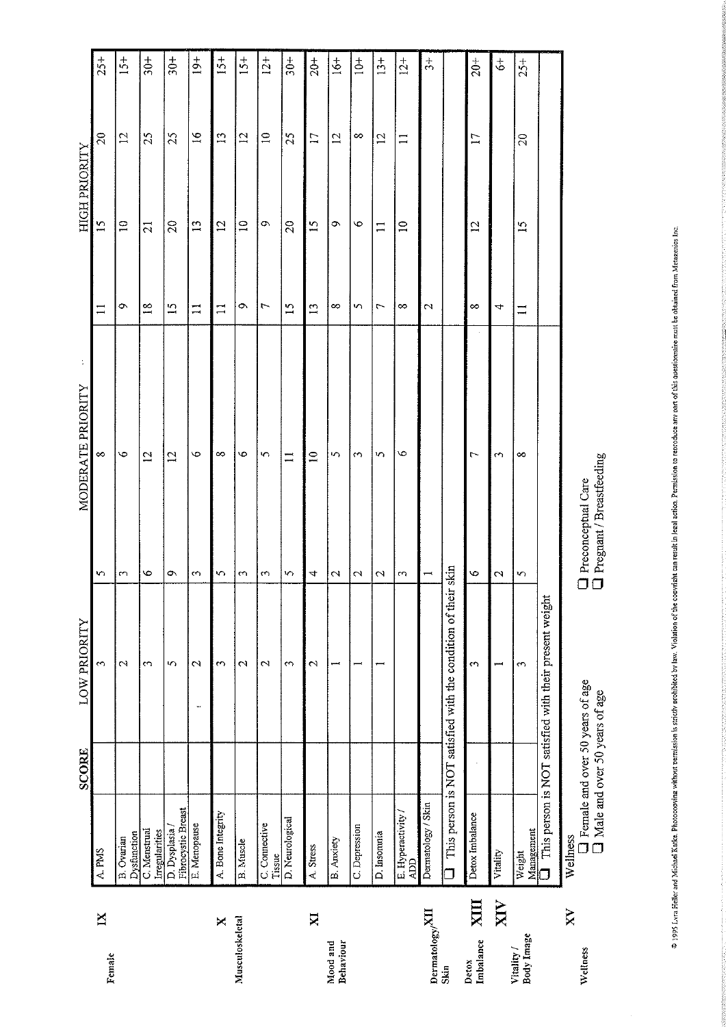|                             |                                     | <b>SCORE</b>                                                              | LOW PRIORITY                                           |                                                                      | MODERATE PRIORITY |                 | <b>HIGH PRIORITY</b> |                |                        |
|-----------------------------|-------------------------------------|---------------------------------------------------------------------------|--------------------------------------------------------|----------------------------------------------------------------------|-------------------|-----------------|----------------------|----------------|------------------------|
| $\mathbf{N}$<br>Female      | A. PMS                              |                                                                           | 3                                                      | n                                                                    | $\infty$          | $\Box$          | $\overline{5}$       | $\approx$      | $25 +$                 |
|                             | Dysfunction<br>B. Ovarian           |                                                                           | 2                                                      | 3                                                                    | $\bullet$         | Ö               | $\Xi$                | $\overline{c}$ | $15 +$                 |
|                             | C. Menstrual<br>Irregularities      |                                                                           | S                                                      | $\circ$                                                              | $\overline{2}$    | $\overline{18}$ | $\overline{21}$      | 25             | $rac{1}{3}$            |
|                             | Fibrocystic Breast<br>D. Dysplasia/ |                                                                           | S                                                      | ó                                                                    | $\overline{2}$    | $\overline{15}$ | $\Omega$             | $\mathcal{L}$  | $30 +$                 |
|                             | E. Menopause                        |                                                                           | $\mathcal{C}$<br>÷.                                    | $\omega$                                                             | ৩                 | Ξ               | $\mathbf{13}$        | $\tilde{5}$    | $19+$                  |
| ×                           | A. Bone Integrity                   |                                                                           | ε                                                      | n                                                                    | $\infty$          | $\Box$          | $\overline{c}$       | $\tilde{5}$    | $15+$                  |
| Musculosketetal             | <b>B.</b> Muscle                    |                                                                           | $\mathcal{C}$                                          | $\omega$                                                             | ۰٥                | Ö               | $\Xi$                | $\overline{5}$ | $15+$                  |
|                             | C. Connective<br>Tissue             |                                                                           | $\sim$                                                 | 3                                                                    | 5                 | $\overline{ }$  | ó                    | $\Xi$          | $12+$                  |
|                             | D. Neurological                     |                                                                           | S                                                      | S                                                                    | $\equiv$          | $\overline{51}$ | 20                   | 25             | $30+$                  |
| XI                          | A. Stress                           |                                                                           | $\mathcal{C}$                                          | 4                                                                    | $\Xi$             | $\overline{1}$  | $\overline{15}$      | $\Box$         | $20+$                  |
| Behaviour<br>Mood and       | B. Anxiety                          |                                                                           |                                                        | $\mathcal{C}$                                                        | $\sim$            | ∞               | $\circ$              | $\overline{c}$ | $\ddot{6}$             |
|                             | C. Depression                       |                                                                           |                                                        | $\mathcal{C}$                                                        | $\sim$            | S               | O                    | ∞              | $\stackrel{+}{\simeq}$ |
|                             | D. Insomnia                         |                                                                           |                                                        | C1                                                                   | N                 | 7               | $\Xi$                | $\overline{c}$ | $13+$                  |
|                             | E. Hyperactivity /<br>ADD           |                                                                           |                                                        | m                                                                    | O                 | ∞               | $\Xi$                | $\Xi$          | $12+$                  |
| Dermatology/ <sup>XII</sup> | Dermatology / Skin                  |                                                                           |                                                        | $\overline{ }$                                                       |                   | N               |                      |                | $\frac{4}{5}$          |
| Skin                        |                                     |                                                                           | This person is NOT satisfied with the condition of the | tr skin                                                              |                   |                 |                      |                |                        |
| XIII<br>Imbalance<br>Detox  | Detox Imbalance                     |                                                                           | $\sim$                                                 | $\bullet$                                                            | 7                 | ∞               | 57                   | $\Box$         | $20+$                  |
| $\overline{\text{XIV}}$     | Vitality                            |                                                                           | بسب                                                    | $\mathbf{\Omega}$                                                    | m                 | 4               |                      |                | \$                     |
| Body Image<br>Vitality /    | Management<br>Weight                |                                                                           | 3                                                      | S                                                                    | ∞                 | $\equiv$        | $\tilde{1}$          | $\overline{c}$ | $25 +$                 |
|                             | $\Box$                              |                                                                           | This person is NOT satisfied with their present weight |                                                                      |                   |                 |                      |                |                        |
| XV<br>Wellness              | Wellness                            | <b>I</b> Female and over 50 years of age<br>Male and over 50 years of age |                                                        | Pregnant / Breastfeeding<br><b>Care</b> Preconceptual Care<br>$\Box$ |                   |                 |                      |                |                        |

\* 1995 Lyra Heller and Michael Katke. Photocopying without permission is strictly location of the coordit can result in legal action. Permission to reproduce any part of this questionate must be obtained from Metaperies be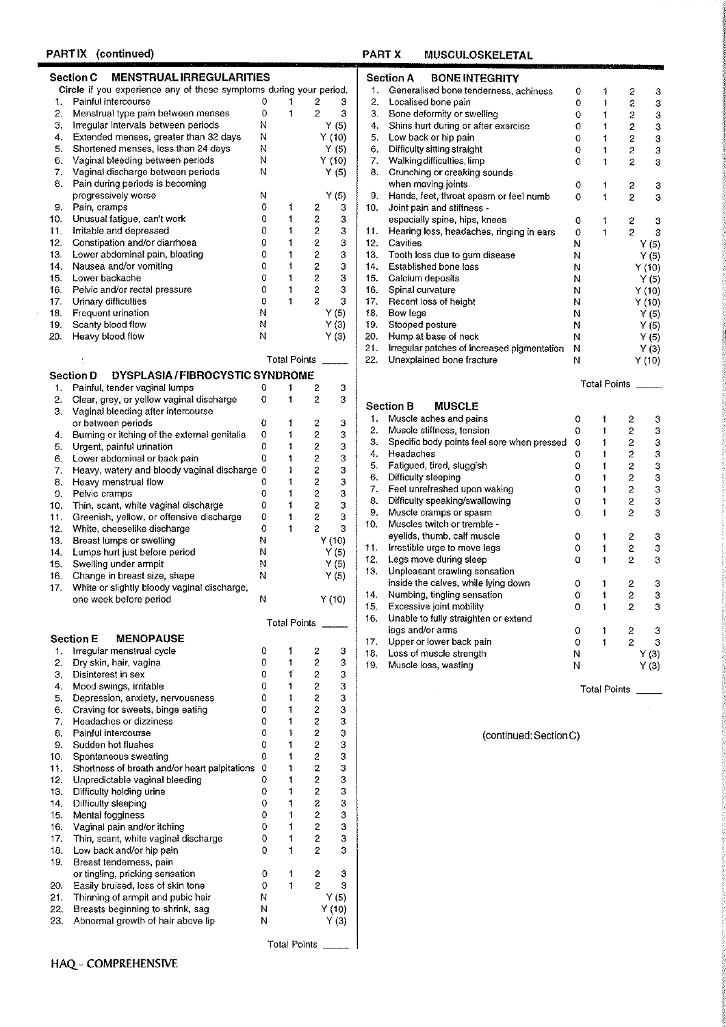# PARTIX (continued)

# Section C MENSTRUAL IRREGULARITIES

Circle if you experience any of these symptoms during your period. 1. Painful intercourse  $\Omega$  $\mathbf{1}$  $\overline{2}$ 3 2. Menstrual type pain between menses  $\mathsf{O}\xspace$  $\overline{c}$  $\mathbf{3}$  $\mathbf{1}$ Irregular intervals between periods  $Y(5)$  $\mathbf N$  $3.$  $\ddot{4}$ . Extended menses, greater than 32 days  ${\sf N}$  $Y(10)$ 5. Shortened menses, less than 24 days  $Y(5)$ N 6. Vaginal bleeding between periods N  $Y(10)$ Vaginal discharge between periods N  $Y(5)$ 7. Pain during periods is becoming 8.  $\begin{array}{c} \mathsf{Y}\ (5)\\ 3 \end{array}$ progressively worse N 9. Pain, cramps  $\mathbf{0}$ 2 2 2 2 2 2  $\mathbf{1}$  $\mathbf 0$  $10.$ Unusual fatigue, can't work  $\ddagger$  $\bf 3$  $\mathbf 0$ 11. Irritable and depressed  $\mathbf 3$  $\ddot{\phantom{1}}$ 12. Constipation and/or diarrhoea  $\mathsf 0$  $\pmb{\uparrow}$  $\bf{3}$ 13. Lower abdominal pain, bloating  $\mathfrak o$  $\mathbf{3}$  $\mathbf{1}$ 14. Nausea and/or vomiting  $\mathbf 0$  $\mathbf 3$  $\mathbf{1}$  $\bar{2}$ 15. Lower backache  $\mathbf 0$  $\mathbf{1}$  $\mathbf 3$ 16. Pelvic and/or rectal pressure  $\mathfrak o$  $\mathbf 2$  $\mathbf 3$  $\uparrow$  $17.$ Urinary difficulties  $\mathbf 0$  $\mathbf{1}$  $\overline{\mathbf{c}}$  $\mathbf 3$ 18. Frequent urination N  $Y(5)$ 19. Scanty blood flow N  $Y(3)$ 20. Heavy blood flow N  $Y(3)$ 

|     |                                                    |   | <b>Total Points</b> |   |        |
|-----|----------------------------------------------------|---|---------------------|---|--------|
|     | <b>DYSPLASIA/FIBROCYSTIC SYNDROME</b><br>Section D |   |                     |   |        |
| 1.  | Painful, tender vaginal lumps                      | 0 | 1                   | 2 | з      |
| 2.  | Clear, grey, or yellow vaginal discharge           | o |                     | 2 | 3      |
| 3.  | Vaginal bleeding after intercourse                 |   |                     |   |        |
|     | or between periods                                 | 0 |                     | 2 | 3      |
| 4.  | Burning or itching of the external genitalia       | O |                     | 2 | 3      |
| 5.  | Urgent, painful urination                          | o |                     | 2 | 3      |
| 6.  | Lower abdominal or back pain                       | 0 |                     | 2 | 3      |
| 7.  | Heavy, watery and bloody vaginal discharge         | 0 |                     | 2 | 3      |
| 8.  | Heavy menstrual flow                               | o |                     | 2 | 3      |
| 9.  | Pelvic cramps                                      | o |                     | 2 | 3      |
| 10. | Thin, scant, white vaginal discharge               | 0 |                     | 2 | 3      |
| 11. | Greenish, yellow, or offensive discharge           | Ð |                     | 2 | 3      |
| 12. | White, cheeselike discharge                        | 0 |                     | 2 | з      |
| 13. | Breast lumps or swelling                           | N |                     |   | Y(10)  |
| 14. | Lumps hurt just before period                      | Ν |                     |   | Y(5)   |
| 15. | Swelling under armpit                              | N |                     |   | Y(5)   |
| 16. | Change in breast size, shape                       | Ν |                     |   | Y(5)   |
| 17. | White or slightly bloody vaginal discharge,        |   |                     |   |        |
|     | one week before period                             | N |                     |   | Y (10) |
|     |                                                    |   | Total Points        |   |        |
|     | <b>MENOPAUSE</b><br>Section E                      |   |                     |   |        |

| Ί.  | irregular menstrual cycle                     | υ |                     | ۷  | з      |
|-----|-----------------------------------------------|---|---------------------|----|--------|
| 2.  | Dry skin, hair, vagina                        | 0 | 1                   | 2  | 3      |
| 3,  | Disinterest in sex                            | 0 | 1                   | 2  | 3      |
| 4.  | Mood swings, irritable                        | 0 |                     | 2  | 3      |
| 5.  | Depression, anxiety, nervousness              | 0 |                     | 2  | 3      |
| 6.  | Craving for sweets, binge eating              | 0 |                     | 2  | 3      |
| 7.  | Headaches or dizziness                        | 0 |                     | 2  | 3      |
| 8.  | Painful intercourse                           | 0 |                     | 2  | 3      |
| 9.  | Sudden hot flushes                            | 0 | 1                   | 2  | 3      |
| 10. | Spontaneous sweating                          | 0 | 1                   | 2  | 3      |
| 11. | Shortness of breath and/or heart palpitations | 0 | Ť                   | 2  | 3      |
| 12. | Unpredictable vaginal bleeding                | 0 | 1                   | 2  | 3      |
| 13. | Difficulty holding urine                      | 0 | 1                   | 2  | 3      |
| 14. | Difficulty sleeping                           | 0 |                     | S. | 3      |
| 15. | Mental fogginess                              | 0 |                     | 2  | 3      |
| 16. | Vaginal pain and/or itching                   | 0 |                     | 2  | 3      |
| 17. | Thin, scant, white vaginal discharge          | 0 |                     | 2  | 3      |
| 18. | Low back and/or hip pain                      | 0 |                     | 2  | 3      |
| 19. | Breast tenderness, pain                       |   |                     |    |        |
|     | or tingling, pricking sensation               | 0 | 1                   | 2  | 3      |
| 20. | Easily bruised, loss of skin tone             | 0 |                     | 2  | 3      |
| 21. | Thinning of armpit and pubic hair             | Ν |                     |    | Y (5)  |
| 22. | Breasts beginning to shrink, sag              | N |                     |    | Y (10) |
| 23. | Abnormal growth of hair above lip             | Ν |                     |    | Y (3)  |
|     |                                               |   | <b>Total Points</b> |    |        |
|     |                                               |   |                     |    |        |

# HAQ - COMPREHENSIVE

#### **PART X MUSCULOSKELETAL**

|     | <b>BONE INTEGRITY</b><br>Section A          |          |              |                |        |
|-----|---------------------------------------------|----------|--------------|----------------|--------|
| 1.  | Generalised bone tenderness, achiness       | 0        | 1            | 2              | 3      |
| 2.  | Localised bone pain                         | $\Omega$ | t            | 2              | з      |
| 3.  | Bone deformity or swelling                  | 0        | 1            | 2              | 3      |
| 4.  | Shins hurt during or after exercise         | 0        | 1            | 2              | 3      |
| 5.  | Low back or hip pain                        | 0        | 1            | 2              | 3      |
| 6,  | Difficulty sitting straight                 | 0        | 1            | $\mathbf{2}$   | 3      |
| 7.  | Walking difficulties, limp                  | 0        | 1            | $\overline{c}$ | 3      |
| 8.  | Crunching or creaking sounds                |          |              |                |        |
|     | when moving joints                          | 0        | 1            | 2              | з      |
| 9.  | Hands, feet, throat spasm or feel numb      | 0        | $\mathbf{f}$ | 2              | 3      |
| 10. | Joint pain and stiffness -                  |          |              |                |        |
|     | especially spine, hips, knees               | 0        | 1            | 2              | 3      |
| 11. | Hearing loss, headaches, ringing in ears    | 0        | 1            | 2              | 3      |
| 12. | Cavities                                    | И        |              |                | Y (5)  |
| 13. | Tooth loss due to gum disease               | N        |              |                | Y (5)  |
| 14. | <b>Established bone loss</b>                | N        |              |                | Y (10) |
| 15. | Calcium deposits                            | N        |              |                | Y (5)  |
| 16. | Spinal curvature                            | N        |              |                | Y(10)  |
| 17. | Recent loss of height                       | N        |              |                | Y(10)  |
| 18. | Bow legs                                    | Ν        |              |                | Y (5)  |
| 19. | Stooped posture                             | N        |              |                | Y (5)  |
| 20. | Hump at base of neck                        | Ν        |              |                | Y (5)  |
| 21. | Irregular patches of increased pigmentation | Ν        |              |                | Y (3)  |
| 22. | Unexplained bone fracture                   | Ν        |              |                | Y (10) |
|     |                                             |          |              |                |        |
|     |                                             |          | Total Points |                |        |

|     | <b>MUSCLE</b><br><b>Section B</b>           |   |                     |                  |       |
|-----|---------------------------------------------|---|---------------------|------------------|-------|
| 1.  | Muscle aches and pains                      | 0 | 1                   | 2                | 3     |
| 2.  | Muscle stiffness, tension                   | Ω | 1                   | 2                | 3     |
| 3.  | Specific body points feel sore when pressed | Ω | 1                   | 2                | 3     |
| 4.  | Headaches                                   | 0 | 1                   | 2                | 3     |
| 5.  | Fatigued, tired, sluggish                   | 0 | 1                   | $\overline{c}$   | 3     |
| 6.  | Difficulty sleeping                         | 0 | 1                   | 2                | 3     |
| 7.  | Feel unrefreshed upon waking                | 0 | 1                   | 2                | 3     |
| 8.  | Difficulty speaking/swallowing              | 0 | 1                   | 5                | з     |
| 9.  | Muscle cramps or spasm                      | 0 | 1                   | 2                | 3     |
| 10. | Muscles twitch or tremble -                 |   |                     |                  |       |
|     | eyelids, thumb, calf muscle                 | 0 | 1                   | 2                | з     |
| 11. | Irrestible urge to move legs                | 0 | 1                   | 2                | 3     |
| 12. | Legs move during sleep                      | Ω | 1                   | 2                | 3     |
| 13. | Unpleasant crawling sensation               |   |                     |                  |       |
|     | inside the calves, while lying down         | 0 | 1                   | 2                | з     |
| 14. | Numbing, tingling sensation                 | 0 | 1                   | $\overline{c}$   | 3     |
| 15. | Excessive joint mobility                    | 0 | 1                   | 2                | 3     |
| 16. | Unable to fully straighten or extend        |   |                     |                  |       |
|     | legs and/or arms                            | 0 | 1                   | $\boldsymbol{z}$ | 3     |
| 17. | Upper or lower back pain                    | 0 | 1                   | 2                | 3     |
| 18. | Loss of muscle strength                     | N |                     |                  | Y (3) |
| 19. | Muscle loss, wasting                        | N |                     |                  | Y (3) |
|     |                                             |   | <b>Total Points</b> |                  |       |

(continued: Section C)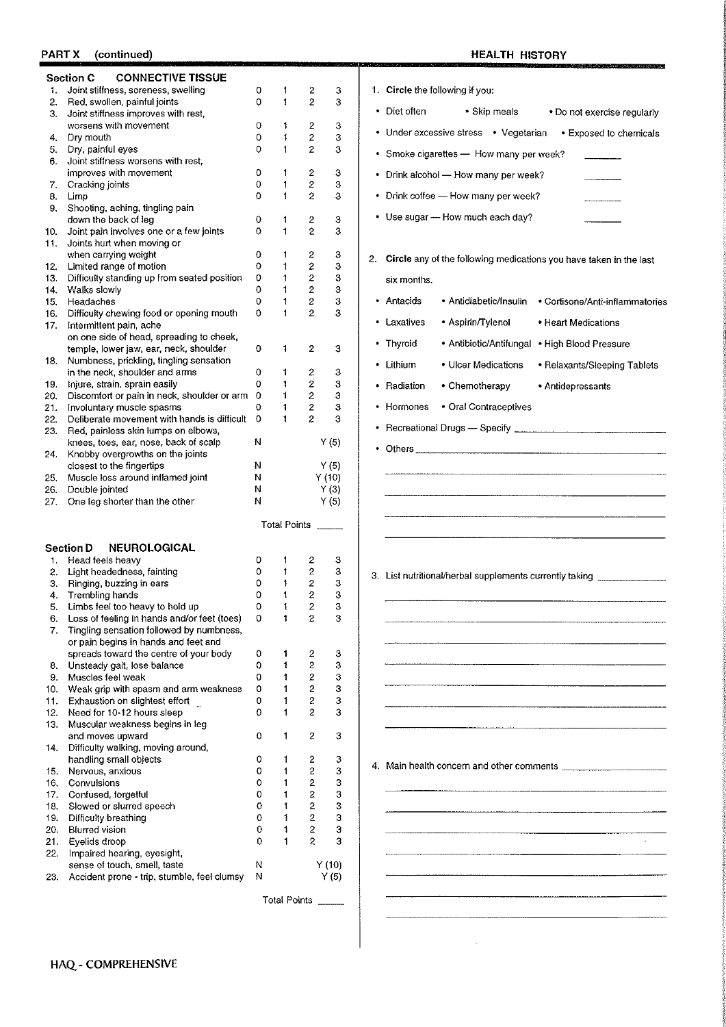# PART X (continued)

# **HEALTH HISTORY**

 $\hat{\mathcal{A}}$ 

assai

|            | <b>CONNECTIVE TISSUE</b><br><b>Section C</b>                                         |                  |                              |                                           |               |                                                                            |
|------------|--------------------------------------------------------------------------------------|------------------|------------------------------|-------------------------------------------|---------------|----------------------------------------------------------------------------|
| 1.         | Joint stiffness, soreness, swelling                                                  | 0                | 1                            | 2                                         | 3             | 1. Circle the following if you:                                            |
| 2.         | Red, swollen, painful joints<br>3. Joint stiffness improves with rest,               | 0                | $\mathbf{1}$                 | $\overline{c}$                            | 3             | • Diet often<br>• Skip meals<br>. Do not exercise regularly                |
|            | worsens with movement                                                                | 0                | 1                            | $\overline{2}$                            | 3             |                                                                            |
|            | 4. Dry mouth                                                                         | 0                | $\mathbf{1}$                 | 2                                         | 3             | • Under excessive stress • Vegetarian<br>• Exposed to chemicals            |
| 5.         | Dry, painful eyes<br>6. Joint stiffness worsens with rest,                           | 0                | 1                            | $\overline{c}$                            | 3             | • Smoke cigarettes - How many per week?                                    |
|            | improves with movement                                                               | 0                | $\mathbf{1}$                 | 2                                         | 3             | • Drink alcohol - How many per week?                                       |
| 7.         | Cracking joints                                                                      | 0                | 1                            | $\mathbf 2$                               | 3             |                                                                            |
| 8.         | Limp                                                                                 | 0                | $\mathbf{1}$                 | $\overline{c}$                            | 3             | • Drink coffee - How many per week?                                        |
|            | 9. Shooting, aching, tingling pain                                                   |                  |                              |                                           |               | • Use sugar -- How much each day?                                          |
|            | down the back of leg                                                                 | $\mathbf 0$<br>0 | 1                            | 2                                         | 3             |                                                                            |
| 10.        | Joint pain involves one or a few joints<br>11. Joints hurt when moving or            |                  | $\mathbf{1}$                 | $\overline{\mathbf{c}}$                   | 3             |                                                                            |
|            | when carrying weight                                                                 | 0                | 1                            | 2                                         | 3             |                                                                            |
| 12.        | Limited range of motion                                                              | $\mathbf 0$      | $\mathbf{1}$                 | 2                                         | 3             | 2. Circle any of the following medications you have taken in the last      |
| 13.        | Difficulty standing up from seated position                                          | 0                | $\mathbf{1}$                 | $\boldsymbol{2}$                          | 3             | six months.                                                                |
| 14.        | Walks slowly                                                                         | 0                | $\mathbf{1}$                 | $\mathbf 2$                               | 3             |                                                                            |
| 15.        | Headaches                                                                            | 0                | 1                            | $\overline{\mathbf{c}}$                   | 3             | • Antacids<br>• Antidiabetic/Insulin<br>• Cortisone/Anti-inflammatories    |
| 16.        | Difficulty chewing food or opening mouth                                             | $\circ$          | $\mathbf{1}$                 | 2                                         | 3             | · Aspirin/Tylenol<br>• Laxatives<br>• Heart Medications                    |
| 17.        | Intermittent pain, ache<br>on one side of head, spreading to cheek,                  |                  |                              |                                           |               |                                                                            |
|            | temple, lower jaw, ear, neck, shoulder                                               | 0                | 1                            | 2                                         | 3             | • Thyroid<br>• Antibiotic/Antifungal • High Blood Pressure                 |
| 18.        | Numbness, prickling, tingling sensation                                              |                  |                              |                                           |               | • Lithium<br>• Ulcer Medications                                           |
|            | in the neck, shoulder and arms                                                       | 0                | 1                            | 2                                         | 3             | • Relaxants/Sleeping Tablets                                               |
| 19.        | Injure, strain, sprain easily                                                        | $\mathbf 0$      | 1                            | 2                                         | 3             | • Radiation<br>• Chemotherapy<br>• Antidepressants                         |
| 20.        | Discomfort or pain in neck, shoulder or arm 0                                        |                  | 1                            | $\bar{z}$                                 | 3             |                                                                            |
| 21.        | Involuntary muscle spasms                                                            | 0                | $\mathbf{1}$<br>$\mathbf{1}$ | $\overline{\mathbf{c}}$<br>$\overline{c}$ | 3<br>3        | • Hormones<br>• Oral Contraceptives                                        |
| 22.<br>23. | Deliberate movement with hands is difficult 0<br>Red, painless skin lumps on elbows, |                  |                              |                                           |               |                                                                            |
|            | knees, toes, ear, nose, back of scalp                                                | N                |                              |                                           | Y(5)          |                                                                            |
| 24.        | Knobby overgrowths on the joints                                                     |                  |                              |                                           |               |                                                                            |
|            | closest to the fingertips                                                            | N                |                              |                                           | Y(5)          |                                                                            |
| 25.        | Muscle loss around inflamed joint                                                    | N                |                              |                                           | Y(10)         |                                                                            |
| 26.        | Double jointed                                                                       | N                |                              |                                           | Y(3)          |                                                                            |
| 27.        | One leg shorter than the other                                                       | N                |                              |                                           | Y(5)          |                                                                            |
|            |                                                                                      |                  |                              |                                           | Total Points  |                                                                            |
|            | <b>NEUROLOGICAL</b><br><b>Section D</b>                                              |                  |                              |                                           |               |                                                                            |
| 1.         | Head feels heavy                                                                     | 0                | 1                            | 2                                         | з             |                                                                            |
|            | 2. Light headedness, fainting                                                        | $\circ$          | 1                            | $\overline{c}$                            | 3             | 3. List nutritional/herbal supplements currently taking __________________ |
|            | 3. Ringing, buzzing in ears                                                          | 0                | 1                            | $\overline{\mathbf{c}}$                   | 3             |                                                                            |
|            | 4. Trembling hands<br>5. Limbs feel too heavy to hold up                             | 0<br>0           | 1<br>1                       | $\overline{\mathbf{c}}$<br>$\overline{2}$ | 3<br>3        |                                                                            |
| 6.         | Loss of feeling in hands and/or feet (toes)                                          | 0                |                              | 2                                         | 3             |                                                                            |
| 7.         | Tingling sensation followed by numbness,                                             |                  |                              |                                           |               |                                                                            |
|            | or pain begins in hands and feet and                                                 |                  |                              |                                           |               |                                                                            |
|            | spreads toward the centre of your body                                               | 0                | Ť.                           | 2                                         | 3             |                                                                            |
| 8.         | Unsteady gait, lose balance                                                          | 0                | 1                            | $\overline{2}$                            | 3             |                                                                            |
| 9.         | Muscles feel weak                                                                    | 0                | 1                            | $\overline{2}$                            | 3             |                                                                            |
| 10.<br>11. | Weak grip with spasm and arm weakness<br>Exhaustion on slightest effort              | o<br>0           | 1<br>1                       | $\overline{c}$<br>2                       | з<br>3        |                                                                            |
| 12.        | Need for 10-12 hours sleep                                                           | 0                | 1                            | $\overline{c}$                            | 3             |                                                                            |
|            | 13. Muscular weakness begins in leg                                                  |                  |                              |                                           |               |                                                                            |
|            | and moves upward                                                                     | 0                | 1                            | 2                                         | 3             |                                                                            |
|            | 14. Difficulty walking, moving around,                                               |                  |                              |                                           |               |                                                                            |
|            | handling small objects                                                               | 0                | 1                            | 2                                         | З             | 4. Main health concern and other comments <b>Example 2014</b>              |
| 15.        | Nervous, anxious<br>Convulsions                                                      | 0<br>0           | 1<br>1                       | 2<br>$\overline{2}$                       | 3             |                                                                            |
| 16.        | 17. Confused, forgetful                                                              | 0                | 1                            | 2                                         | 3<br>3        |                                                                            |
| 18.        | Slowed or slurred speech                                                             | 0                | 1                            | $\overline{2}$                            | 3             |                                                                            |
| 19.        | Difficulty breathing                                                                 | 0                | 1                            | $\overline{c}$                            | 3             |                                                                            |
| 20.        | <b>Blurred vision</b>                                                                | 0                | 1                            | $\mathbf{2}$                              | 3             |                                                                            |
| 21.        | Eyelids droop                                                                        | 0                | 1                            | $\overline{c}$                            | 3             |                                                                            |
|            | 22. Impaired hearing, eyesight,                                                      |                  |                              |                                           |               |                                                                            |
| 23.        | sense of touch, smell, taste<br>Accident prone - trip, stumble, feel clumsy          | N<br>N           |                              |                                           | Y(10)<br>Y(5) |                                                                            |
|            |                                                                                      |                  |                              |                                           |               |                                                                            |
|            |                                                                                      |                  |                              |                                           | Total Points  |                                                                            |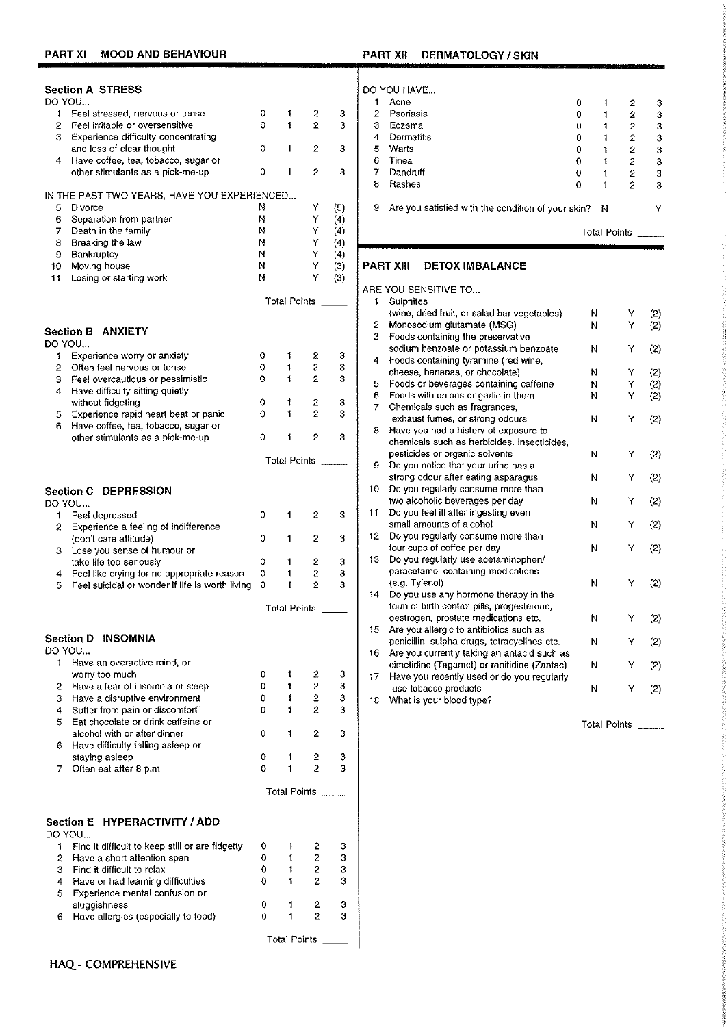## PART XII DERMATOLOGY / SKIN

| <b>Section A STRESS</b>                                   |                                                 |   |                     |                         |     |        | DO YOU HAVE                                        |
|-----------------------------------------------------------|-------------------------------------------------|---|---------------------|-------------------------|-----|--------|----------------------------------------------------|
| DO YOU                                                    |                                                 |   |                     |                         |     | 1      | Acne                                               |
| Feel stressed, nervous or tense<br>1                      |                                                 | 0 | 1                   | 2                       | 3   | 2      | Psoriasis                                          |
| 2<br>Feel irritable or oversensitive                      |                                                 | 0 | 1                   | $\overline{2}$          | 3   | З      | Eczema                                             |
| 3.<br>Experience difficulty concentrating                 |                                                 |   |                     |                         |     | 4      | Dermatitis                                         |
| and loss of clear thought                                 |                                                 | 0 | 1                   | 2                       | 3   | 5      | Warts                                              |
| Have coffee, tea, tobacco, sugar or<br>4                  |                                                 |   |                     |                         |     | 6      | Tinea                                              |
| other stimulants as a pick-me-up                          |                                                 | 0 | 1                   | 2                       | 3   | 7<br>8 | Dandruff<br>Rashes                                 |
| IN THE PAST TWO YEARS, HAVE YOU EXPERIENCED               |                                                 |   |                     |                         |     |        |                                                    |
| 5<br>Divorce                                              |                                                 | Ν |                     | Υ                       | (5) | 9      | Are you satisfied with                             |
| Separation from partner<br>6                              |                                                 | Ν |                     | Υ                       | (4) |        |                                                    |
| Death in the family<br>7                                  |                                                 | Ν |                     | Y                       | (4) |        |                                                    |
| 8<br>Breaking the law                                     |                                                 | Ν |                     | Υ                       | (4) |        |                                                    |
| Bankruptcy<br>9                                           |                                                 | Ν |                     | Y                       | (4) |        |                                                    |
| Moving house<br>10                                        |                                                 | Ν |                     | Y                       | (3) |        | <b>PART XIII</b><br><b>DETOX IMB</b>               |
| 11<br>Losing or starting work                             |                                                 | N |                     | Y                       | (3) |        |                                                    |
|                                                           |                                                 |   | Total Points ____   |                         |     | 1.     | ARE YOU SENSITIVE TO<br>Sulphites                  |
|                                                           |                                                 |   |                     |                         |     |        | (wine, dried fruit, or sa                          |
|                                                           |                                                 |   |                     |                         |     | 2.     | Monosodium glutamat                                |
| <b>Section B ANXIETY</b>                                  |                                                 |   |                     |                         |     | 3.     | Foods containing the p                             |
| DO YOU                                                    |                                                 |   |                     |                         |     |        | sodium benzoate or pr                              |
| Experience worry or anxiety<br>1.                         |                                                 | 0 | 1                   | 2                       | 3   | 4      | Foods containing tyrar                             |
| $\overline{2}$<br>Often feel nervous or tense             |                                                 | 0 | 1                   | $\overline{\mathbf{c}}$ | 3   |        | cheese, bananas, or c                              |
| 3<br>Feel overcautious or pessimistic                     |                                                 | 0 | 1                   | 2                       | 3   | 5.     | Foods or beverages of                              |
| 4<br>Have difficulty sitting quietly<br>without fidgeting |                                                 | 0 | 1                   | 2                       | 3   | 6.     | Foods with onions or g                             |
| Experience rapid heart beat or panic<br>5                 |                                                 | 0 | 1                   | $\overline{2}$          | 3   | 7      | Chemicals such as fra                              |
| Have coffee, tea, tobacco, sugar or<br>6                  |                                                 |   |                     |                         |     |        | exhaust fumes, or stro                             |
| other stimulants as a pick-me-up                          |                                                 | 0 | 1                   | 2                       | з   |        | 8 Have you had a histor                            |
|                                                           |                                                 |   |                     |                         |     |        | chemicals such as her                              |
|                                                           |                                                 |   | Total Points        |                         |     | 9      | pesticides or organic s<br>Do you notice that you  |
|                                                           |                                                 |   |                     |                         |     |        | strong odour after eati                            |
|                                                           |                                                 |   |                     |                         |     | 10     | Do you regularly const                             |
| <b>Section C DEPRESSION</b><br>DO YOU                     |                                                 |   |                     |                         |     |        | two alcoholic beverage                             |
| Feel depressed<br>1                                       |                                                 | 0 | 1                   | 2                       | 3   | 11     | Do you feel ill after ing                          |
| $\mathbf{2}$<br>Experience a feeling of indifference      |                                                 |   |                     |                         |     |        | small amounts of alcol                             |
| (don't care attitude)                                     |                                                 | 0 | 1                   | 2                       | 3   | 12     | Do you regularly const                             |
| Lose you sense of humour or<br>3                          |                                                 |   |                     |                         |     |        | four cups of coffee per                            |
| take life too seriously                                   |                                                 | 0 | 1                   | $\mathbf{2}$            | 3   | 13     | Do you regularly use a                             |
| 4                                                         | Feel like crying for no appropriate reason      | 0 | 1                   | $\overline{\mathbf{c}}$ | 3   |        | paracetamol containing                             |
| 5                                                         | Feel suicidal or wonder if life is worth living | 0 | 1                   | $\overline{2}$          | 3   |        | (e.g. Tylenol)                                     |
|                                                           |                                                 |   |                     |                         |     | 14     | Do you use any hormo                               |
|                                                           |                                                 |   | <b>Total Points</b> |                         |     |        | form of birth control pil<br>oestrogen, prostate m |
|                                                           |                                                 |   |                     |                         |     | 15     | Are you allergic to anti                           |
| Section D INSOMNIA                                        |                                                 |   |                     |                         |     |        | penicillin, sulpha drugs                           |
| do You                                                    |                                                 |   |                     |                         |     | 16     | Are you currently takin                            |
| 1 Have an overactive mind, or                             |                                                 |   |                     |                         |     |        | cimetidine (Tagamet) o                             |
| worry too much                                            |                                                 | ٥ | 1                   | 2                       | 3   | 17     | Have you recently use                              |
| Have a fear of insomnia or sleep<br>2                     |                                                 | 0 | 1                   | $\boldsymbol{2}$        | з   |        | use tobacco products                               |
| 3<br>Have a disruptive environment                        |                                                 | 0 | 1                   | $\boldsymbol{2}$        | 3   | 18     | What is your blood typ                             |
| Suffer from pain or discomfort"<br>4                      |                                                 | 0 | 1                   | $\overline{c}$          | 3   |        |                                                    |
| Eat chocolate or drink caffeine or<br>5                   |                                                 |   |                     |                         |     |        |                                                    |
| alcohol with or after dinner                              |                                                 | 0 | 1                   | 2                       | 3   |        |                                                    |
| Have difficulty falling asleep or<br>6<br>staying asleep  |                                                 | 0 | 1                   | 2                       | 3   |        |                                                    |
| Often eat after 8 p.m.<br>7                               |                                                 | 0 | 1                   | $\overline{2}$          | з   |        |                                                    |
|                                                           |                                                 |   |                     |                         |     |        |                                                    |
|                                                           |                                                 |   | Total Points        |                         |     |        |                                                    |
|                                                           |                                                 |   |                     |                         |     |        |                                                    |
| Section E HYPERACTIVITY / ADD                             |                                                 |   |                     |                         |     |        |                                                    |
| DO YOU                                                    |                                                 |   |                     |                         |     |        |                                                    |
| 1.                                                        | Find it difficult to keep still or are fidgetty | 0 | 1                   | 2                       | 3   |        |                                                    |
| Have a short attention span<br>2                          |                                                 | 0 | 1                   | 2                       | 3   |        |                                                    |
| Find it difficult to relax<br>з                           |                                                 | 0 | ŧ                   | $\overline{c}$          | 3   |        |                                                    |
| Have or had learning difficulties<br>4                    |                                                 | 0 | 1                   | $\overline{c}$          | 3   |        |                                                    |
| Experience mental confusion or<br>5                       |                                                 |   |                     |                         |     |        |                                                    |
| sluggishness                                              |                                                 | 0 | 1                   | 2                       | 3   |        |                                                    |
| Have allergies (especially to food)<br>6                  |                                                 | 0 | 1                   | 2                       | 3   |        |                                                    |

 $\mathbf 1$ Total Points

#### $\frac{3}{3}$  $\mathsf{O}\xspace$  $\,$  1  $\,$  $20000$  $\begin{matrix}0\\0\\0\end{matrix}$  $\overline{1}$  $\blacktriangleleft$  $\mathbf 3$  $\mathfrak o$  $\mathbf{1}$  $\mathbf 3$  $\overline{0}$  $\mathbf 1$  $\bf 3$  $\frac{2}{2}$  $\pmb{\mathsf{O}}$  $\ddot{\mathbf{t}}$  $\mathbf 3$  $\pmb{\mathsf{o}}$  $\mathbf 3$  $\vert$  1  $\pmb{0}$  $\mathbf 2$  $\mathbf{1}$  $\mathbf 3$ the condition of your skin? N  $\mathsf Y$ Total Points \_

# ALANCE

|    | RE YOU SENSITIVE TO                          |                     |   |     |
|----|----------------------------------------------|---------------------|---|-----|
| 1  | Sulphites                                    |                     |   |     |
|    | (wine, dried fruit, or salad bar vegetables) | Ν                   | Υ | (2) |
| 2  | Monosodium glutamate (MSG)                   | N                   | Y | (2) |
| 3  | Foods containing the preservative            |                     |   |     |
|    | sodium benzoate or potassium benzoate        | N                   | Υ | (2) |
| 4  | Foods containing tyramine (red wine,         |                     |   |     |
|    | cheese, bananas, or chocolate)               | N                   | Y | (2) |
| 5  | Foods or beverages containing caffeine       | N                   | Υ | (2) |
| 6  | Foods with onions or garlic in them          | N                   | Υ | (2) |
| 7  | Chemicals such as fragrances,                |                     |   |     |
|    | exhaust fumes, or strong odours              | N                   | Y | (2) |
| 8  | Have you had a history of exposure to        |                     |   |     |
|    | chemicals such as herbicides, insecticides,  |                     |   |     |
|    | pesticides or organic solvents               | N                   | Υ | (2) |
| 9  | Do you notice that your urine has a          |                     |   |     |
|    | strong odour after eating asparagus          | N                   | Υ | (2) |
| 10 | Do you regularly consume more than           |                     |   |     |
|    | two alcoholic beverages per day              | N                   | Υ | (2) |
| 11 | Do you feel ill after ingesting even         |                     |   |     |
|    | small amounts of alcohol                     | N                   | Y | (2) |
| 12 | Do you regularly consume more than           |                     |   |     |
|    | four cups of coffee per day                  | N                   | Υ | (2) |
| 13 | Do you regularly use acetaminophen/          |                     |   |     |
|    | paracetamol containing medications           |                     |   |     |
|    | (e.g. Tylenol)                               | N                   | Y | (2) |
| 14 | Do you use any hormone therapy in the        |                     |   |     |
|    | form of birth control pills, progesterone,   |                     |   |     |
|    | oestrogen, prostate medications etc.         | N                   | Y | (2) |
| 15 | Are you allergic to antibiotics such as      |                     |   |     |
|    | penicillin, sulpha drugs, tetracyclines etc. | N                   | Y | (2) |
| 16 | Are you currently taking an antacid such as  |                     |   |     |
|    | cimetidine (Tagamet) or ranitidine (Zantac)  | N                   | Y | (2) |
| 17 | Have you recently used or do you regularly   |                     |   |     |
|    | use tobacco products                         | N                   | Y | (2) |
| 18 | What is your blood type?                     |                     |   |     |
|    |                                              | <b>Total Points</b> |   |     |
|    |                                              |                     |   |     |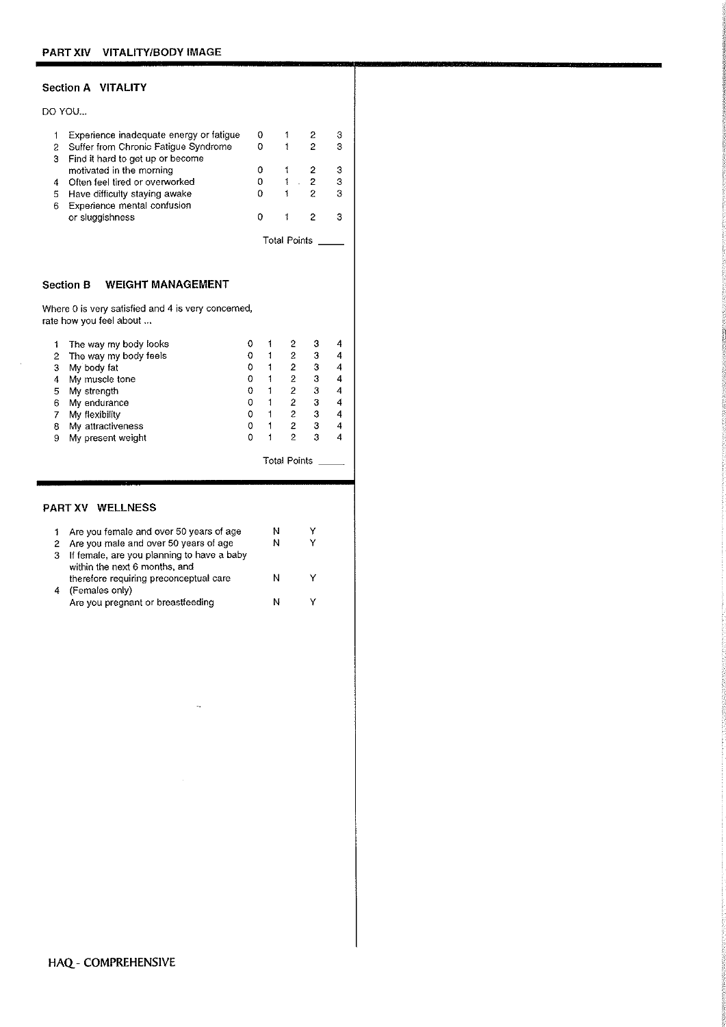# Section A VITALITY

|   | DO YOU                                  |   |              |   |   |
|---|-----------------------------------------|---|--------------|---|---|
|   | Experience inadequate energy or fatigue | O |              |   | З |
| 2 | Suffer from Chronic Fatigue Syndrome    |   |              | 2 | я |
| з | Find it hard to get up or become        |   |              |   |   |
|   | motivated in the morning                | о |              |   | з |
| 4 | Often feel tired or overworked          |   |              |   | 3 |
| 5 | Have difficulty staying awake           |   |              | 2 | 3 |
| 6 | Experience mental confusion             |   |              |   |   |
|   | or sluggishness                         |   |              |   |   |
|   |                                         |   | Total Points |   |   |

## Section B WEIGHT MANAGEMENT

Where 0 is very satisfied and 4 is very concerned, rate how you feel about ...

|   | The way my body looks |  |   |   |  |
|---|-----------------------|--|---|---|--|
| 2 | The way my body feels |  |   | 3 |  |
| 3 | My body fat           |  | 2 | 3 |  |
|   | My muscle tone        |  |   | 3 |  |
| 5 | My strength           |  |   | з |  |
| 6 | My endurance          |  | 2 | 3 |  |
|   | My flexibility        |  | 2 | 3 |  |
| 8 | My attractiveness     |  |   | з |  |
| я | My present weight     |  |   |   |  |
|   |                       |  |   |   |  |

# Total Points \_\_\_\_\_

# PART XV WELLNESS

 $\boldsymbol{\beta}$ 

|   | 1 Are you female and over 50 years of age    | N |  |
|---|----------------------------------------------|---|--|
|   | 2 Are you male and over 50 years of age      | N |  |
|   | 3 If female, are you planning to have a baby |   |  |
|   | within the next 6 months, and                |   |  |
|   | therefore requiring preconceptual care       |   |  |
| 4 | (Females only)                               |   |  |
|   | Are you pregnant or breastfeeding            |   |  |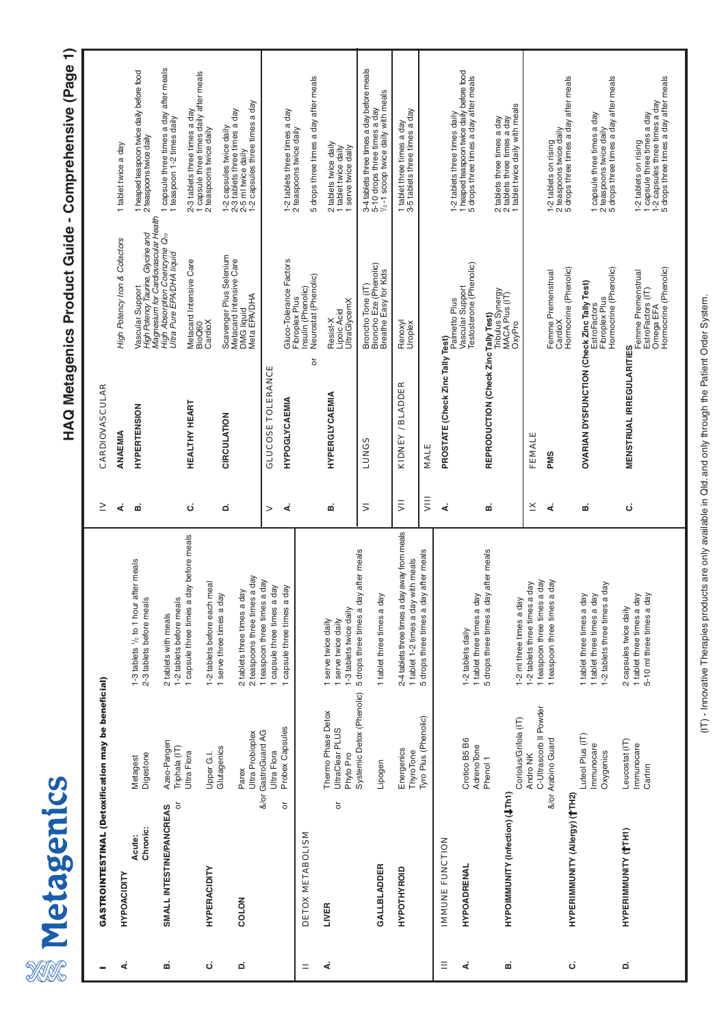| <b>U</b> |
|----------|
|          |
| J        |
| ó<br>C   |
|          |
| «        |

# HAQ Metagenics Product Guide - Comprehensive (Page 1) **HAQ Metagenics Product Guide - Comprehensive (Page 1)**

| GASTROINTESTINAL (Detoxification may be beneficial) |                                                       |                                                                                                  | ≥         | CARDIOVASCULAR                                                             |                                                                                              |                                                                                                                                 |
|-----------------------------------------------------|-------------------------------------------------------|--------------------------------------------------------------------------------------------------|-----------|----------------------------------------------------------------------------|----------------------------------------------------------------------------------------------|---------------------------------------------------------------------------------------------------------------------------------|
|                                                     |                                                       |                                                                                                  | ∢         | ANAEMIA                                                                    | High Potency Iron & Cofactors                                                                | 1 tablet twice a day                                                                                                            |
| <b>HYPOACIDITY</b>                                  |                                                       |                                                                                                  |           |                                                                            |                                                                                              |                                                                                                                                 |
| Chronic:<br>Acute:                                  | Digestone<br>Metagest                                 | 1-3 tablets 1/2 to 1 hour after meals<br>2-3 tablets before meals                                | ø         | <b>HYPERTENSION</b>                                                        | Magnesium for Cardiovascular Health<br>High Potency Taurine, Glycine and<br>Vascular Support | 1 heaped teaspoon twice daily before food<br>2 teaspoons twice daily                                                            |
| ŏ<br>SMALL INTESTINE/PANCREAS                       | Azeo-Pangen<br>Triphala (IT)                          | 1-2 tablets before meals<br>2 tablets with meals                                                 |           |                                                                            | High Absorption Coenzyme Q10<br>Ultra Pure EPA/DHA liquid                                    | 1 capsule three times a day after meals<br>1 teaspoon 1-2 times daily                                                           |
|                                                     | Ultra Flora                                           | day before meals<br>1 capsule three times a                                                      | ن         | <b>HEALTHY HEART</b>                                                       | Metacard Intensive Care<br>BioQ60                                                            | 2-3 tablets three times a day<br>1 capsule three times daily after meals<br>2 teaspoons twice daily                             |
| <b>HYPERACIDITY</b>                                 | Glutagenics<br>Upper G.I.                             | meal<br>1 serve three times a day<br>1-2 tablets before each                                     |           |                                                                            | CardioX                                                                                      |                                                                                                                                 |
| COLON                                               | Parex                                                 | 2 tablets three times a day                                                                      | ۵         | <b>CIRCULATION</b>                                                         | Scavenger Plus Selenium<br>Metacard Intensive Care<br>DMG liquid                             | 1-2 capsules twice daily<br>2-3 tablets three times a day<br>2-5 ml twice daily<br>1-2 capsules three times a day               |
|                                                     | Ultra Probioplex                                      | a day<br>2 teaspoons three times                                                                 |           |                                                                            | Meta EPA/DHA                                                                                 |                                                                                                                                 |
| ŏ                                                   | Probex Capsules<br>&/or GastroGuard AG<br>Ultra Flora | a day<br>1 capsule three times a day<br>day<br>1 capsule three times a<br>1 teaspoon three times | >         | <b>GLUCOSE TOLERANCE</b>                                                   |                                                                                              |                                                                                                                                 |
|                                                     |                                                       |                                                                                                  | ∢         | <b>HYPOGLY CAEMIA</b>                                                      | Gluco-Tolerance Factors<br>Fibroplex Plus                                                    | 1-2 tablets three times a day<br>2 teaspoons twice daily                                                                        |
| <b>DETOX METABOLISM</b>                             |                                                       |                                                                                                  |           | ŏ                                                                          | Neurostat (Phenolic)<br>Insulin (Phenolic)                                                   | 5 drops three times a day after meals                                                                                           |
| ŏ<br>LIVER                                          | Thermo Phase Detox<br>UltraClear PLUS<br>Phyto Pro    | -3 tablets twice daily<br>serve twice daily<br>serve twice daily                                 | ΩÓ        | HYPERGLYCAEMIA                                                             | <b>UltraGlycemX</b><br>Lipoic Acid<br>Resist-X                                               | 2 tablets twice daily<br>1 tablet twice daily<br>serve twice daily                                                              |
|                                                     | Systemic Detox (Phenolic)                             | 5 drops three times a day after meals                                                            | 5         | <b>SSONDT</b>                                                              | Broncho Tone (IT)<br>Broncho Eze (Phenolic)                                                  |                                                                                                                                 |
| GALLBLADDER                                         | Lipogen                                               | 1 tablet three times a day                                                                       |           |                                                                            | Breathe Easy for Kids                                                                        | 3-4 tablets three times a day before meals<br>5-10 drops three times a day<br>1/ <sub>2</sub> -1 scoop twice daily with meals   |
| HYPOTHYROID                                         | Energenics<br>ThyroTone                               | 2-4 tablets three times a day away from meals<br>1 tablet 1-2 times a day with meals             | $\bar{5}$ | KIDNEY / BLADDER                                                           | Renoxyl<br>Uroplex                                                                           | 1 tablet three times a day<br>3-5 tablets three times a day                                                                     |
|                                                     | Tyro Plus (Phenolic)                                  | 5 drops three times a day after meals                                                            | $\bar{z}$ | MALE                                                                       |                                                                                              |                                                                                                                                 |
| <b>IMMUNE FUNCTION</b>                              |                                                       |                                                                                                  | ∢         | PROSTATE (Check Zinc Tally Test)                                           | Palmetto Plus                                                                                |                                                                                                                                 |
| HYPOADRENAL                                         | Crotico B5 B6<br>AdrenoTone                           | 1 tablet three times a day<br>1-2 tablets daily                                                  |           |                                                                            | Testosterone (Phenolic)<br>Vascular Support                                                  | 1-2 tablets three times daily<br>1 heaped teaspoon twice daily before food<br>5 drops three times a day after meals             |
|                                                     | Phenol <sub>1</sub>                                   | 5 drops three times a day after meals                                                            | മ         |                                                                            |                                                                                              |                                                                                                                                 |
| HYPOIMMUNITY (Infection) (UTh1)                     | Coriolus/Grifola (IT)                                 | 1-2 ml three times a day                                                                         |           | REPRODUCTION (Check Zinc Tally Test)<br>Tribulus Synergy<br>MACA Plus (IT) | OxyPro                                                                                       | 2 tablets three times a day<br>2 tablets three times a day<br>1 tablet twice daily with meals                                   |
|                                                     | Andro NK                                              | -2 tablets three times a day                                                                     | ≚         | FEMALE                                                                     |                                                                                              |                                                                                                                                 |
|                                                     | C-Ultrascorb II Powder<br>&/or Arabino Guard          | a day<br>I teaspoon three times a day<br>teaspoon three times                                    | ∢         | <b>PMS</b>                                                                 | Femme Premenstrual<br>CardioX                                                                | 1-2 tablets on rising<br>2 teaspoons twice daily<br>5 drops three times a day after meals                                       |
| HYPERIMMUNITY (Allergy) (TH2)                       |                                                       |                                                                                                  |           |                                                                            | Hormocrine (Phenolic)                                                                        |                                                                                                                                 |
|                                                     | Luteol Plus (IT)<br>Immunocare<br>Oxygenics           | -2 tablets three times a day<br>I tablet three times a day<br>1 tablet three times a day         | ø         | OVARIAN DYSFUNCTION (Check Zinc Tally Test)                                | Hormocrine (Phenolic)<br>Fibroplex Plus<br><b>EstroFactors</b>                               | drops three times a day after meals<br>1 capsule three times a day<br>2 teaspoons twice daily<br>5 drops three times a day af   |
| <b>HYPERIMMUNITY (TH1)</b>                          | Leucostat (IT)<br>Immunocare<br>Cartrin               | 5-10 ml three times a day<br>1 tablet three times a day<br>2 capsules twice daily                | ن         | <b>MENSTRUAL IRREGULARITIES</b>                                            | Hormocrine (Phenolic)<br>Femme Premenstrual<br>EstroFactors (IT)<br>Omega EFA                | 1 capsule three times a day<br>1-2 capsules three times a day<br>5 drops three times a day after meals<br>1-2 tablets on rising |
|                                                     |                                                       |                                                                                                  |           |                                                                            |                                                                                              |                                                                                                                                 |

(IT) - Innovative Therapies products are only available in Qld. and only through the Patient Order System. (IT) - Innovative Therapies products are only available in Qld. and only through the Patient Order System.